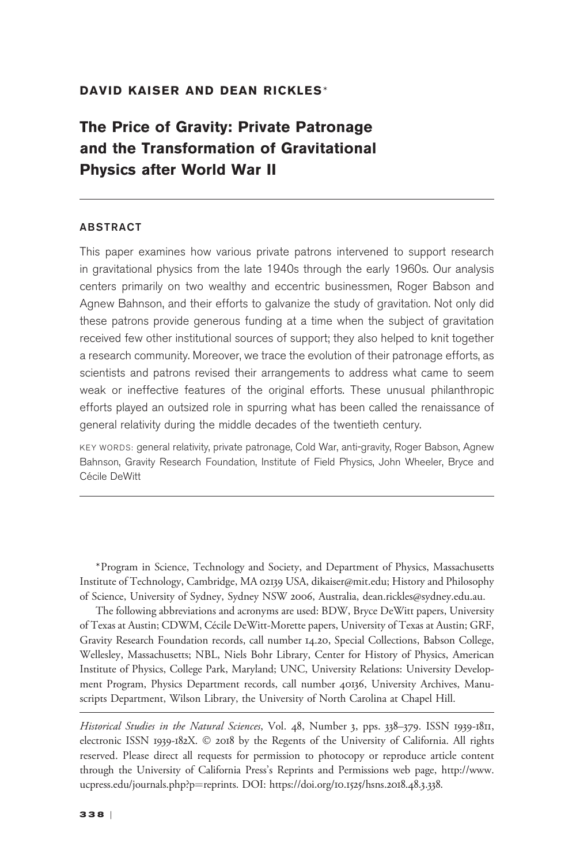### DAVID KAISER AND DEAN RICKLES\*

# The Price of Gravity: Private Patronage and the Transformation of Gravitational Physics after World War II

#### **ABSTRACT**

This paper examines how various private patrons intervened to support research in gravitational physics from the late 1940s through the early 1960s. Our analysis centers primarily on two wealthy and eccentric businessmen, Roger Babson and Agnew Bahnson, and their efforts to galvanize the study of gravitation. Not only did these patrons provide generous funding at a time when the subject of gravitation received few other institutional sources of support; they also helped to knit together a research community. Moreover, we trace the evolution of their patronage efforts, as scientists and patrons revised their arrangements to address what came to seem weak or ineffective features of the original efforts. These unusual philanthropic efforts played an outsized role in spurring what has been called the renaissance of general relativity during the middle decades of the twentieth century.

KEY WORDS: general relativity, private patronage, Cold War, anti-gravity, Roger Babson, Agnew Bahnson, Gravity Research Foundation, Institute of Field Physics, John Wheeler, Bryce and Cécile DeWitt

\*Program in Science, Technology and Society, and Department of Physics, Massachusetts Institute of Technology, Cambridge, MA 02139 USA, dikaiser@mit.edu; History and Philosophy of Science, University of Sydney, Sydney NSW 2006, Australia, dean.rickles@sydney.edu.au.

The following abbreviations and acronyms are used: BDW, Bryce DeWitt papers, University of Texas at Austin; CDWM, Cécile DeWitt-Morette papers, University of Texas at Austin; GRF, Gravity Research Foundation records, call number 14.20, Special Collections, Babson College, Wellesley, Massachusetts; NBL, Niels Bohr Library, Center for History of Physics, American Institute of Physics, College Park, Maryland; UNC, University Relations: University Development Program, Physics Department records, call number 40136, University Archives, Manuscripts Department, Wilson Library, the University of North Carolina at Chapel Hill.

Historical Studies in the Natural Sciences, Vol. 48, Number 3, pps. 338-379. ISSN 1939-1811, electronic ISSN 1939-182X. © 2018 by the Regents of the University of California. All rights reserved. Please direct all requests for permission to photocopy or reproduce article content through the University of California Press's Reprints and Permissions web page, [http://www.](http://www.ucpress.edu/journals.php?p=reprints) [ucpress.edu/journals.php?p](http://www.ucpress.edu/journals.php?p=reprints)=[reprints.](http://www.ucpress.edu/journals.php?p=reprints) [DOI: https://doi.org/](https://doi.org/10.1525/hsns.2018.48.3.338)10.1525/hsns.2018.48.3.338.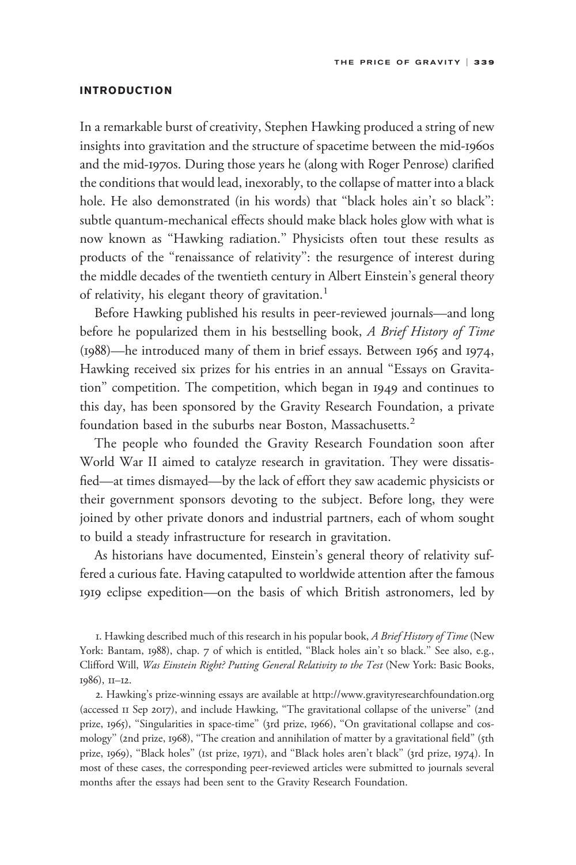### INTRODUCTION

In a remarkable burst of creativity, Stephen Hawking produced a string of new insights into gravitation and the structure of spacetime between the mid-1960s and the mid-1970s. During those years he (along with Roger Penrose) clarified the conditions that would lead, inexorably, to the collapse of matter into a black hole. He also demonstrated (in his words) that "black holes ain't so black": subtle quantum-mechanical effects should make black holes glow with what is now known as ''Hawking radiation.'' Physicists often tout these results as products of the ''renaissance of relativity'': the resurgence of interest during the middle decades of the twentieth century in Albert Einstein's general theory of relativity, his elegant theory of gravitation.<sup>1</sup>

Before Hawking published his results in peer-reviewed journals—and long before he popularized them in his bestselling book, A Brief History of Time (1988)—he introduced many of them in brief essays. Between 1965 and 1974, Hawking received six prizes for his entries in an annual ''Essays on Gravitation'' competition. The competition, which began in 1949 and continues to this day, has been sponsored by the Gravity Research Foundation, a private foundation based in the suburbs near Boston, Massachusetts.<sup>2</sup>

The people who founded the Gravity Research Foundation soon after World War II aimed to catalyze research in gravitation. They were dissatisfied—at times dismayed—by the lack of effort they saw academic physicists or their government sponsors devoting to the subject. Before long, they were joined by other private donors and industrial partners, each of whom sought to build a steady infrastructure for research in gravitation.

As historians have documented, Einstein's general theory of relativity suffered a curious fate. Having catapulted to worldwide attention after the famous 1919 eclipse expedition—on the basis of which British astronomers, led by

1. Hawking described much of this research in his popular book, A Brief History of Time (New York: Bantam, 1988), chap. 7 of which is entitled, "Black holes ain't so black." See also, e.g., Clifford Will, Was Einstein Right? Putting General Relativity to the Test (New York: Basic Books, 1986), 11–12.

2. Hawking's prize-winning essays are available at<http://www.gravityresearchfoundation.org> (accessed 11 Sep 2017), and include Hawking, ''The gravitational collapse of the universe'' (2nd prize, 1965), "Singularities in space-time" (3rd prize, 1966), "On gravitational collapse and cosmology'' (2nd prize, 1968), ''The creation and annihilation of matter by a gravitational field'' (5th prize, 1969), ''Black holes'' (1st prize, 1971), and ''Black holes aren't black'' (3rd prize, 1974). In most of these cases, the corresponding peer-reviewed articles were submitted to journals several months after the essays had been sent to the Gravity Research Foundation.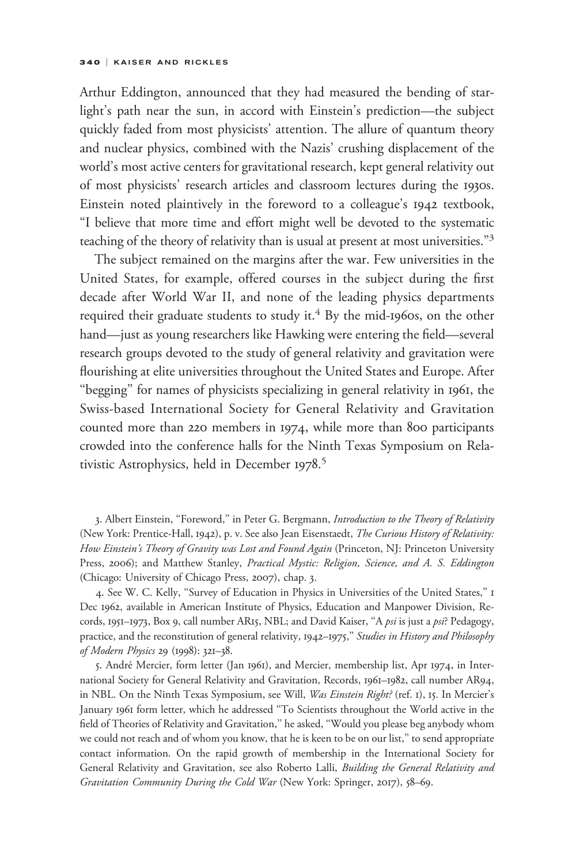Arthur Eddington, announced that they had measured the bending of starlight's path near the sun, in accord with Einstein's prediction—the subject quickly faded from most physicists' attention. The allure of quantum theory and nuclear physics, combined with the Nazis' crushing displacement of the world's most active centers for gravitational research, kept general relativity out of most physicists' research articles and classroom lectures during the 1930s. Einstein noted plaintively in the foreword to a colleague's 1942 textbook, ''I believe that more time and effort might well be devoted to the systematic teaching of the theory of relativity than is usual at present at most universities.''3

The subject remained on the margins after the war. Few universities in the United States, for example, offered courses in the subject during the first decade after World War II, and none of the leading physics departments required their graduate students to study it.<sup>4</sup> By the mid-1960s, on the other hand—just as young researchers like Hawking were entering the field—several research groups devoted to the study of general relativity and gravitation were flourishing at elite universities throughout the United States and Europe. After ''begging'' for names of physicists specializing in general relativity in 1961, the Swiss-based International Society for General Relativity and Gravitation counted more than 220 members in 1974, while more than 800 participants crowded into the conference halls for the Ninth Texas Symposium on Relativistic Astrophysics, held in December 1978. 5

3. Albert Einstein, "Foreword," in Peter G. Bergmann, Introduction to the Theory of Relativity (New York: Prentice-Hall, 1942), p. v. See also Jean Eisenstaedt, The Curious History of Relativity: How Einstein's Theory of Gravity was Lost and Found Again (Princeton, NJ: Princeton University Press, 2006); and Matthew Stanley, Practical Mystic: Religion, Science, and A. S. Eddington (Chicago: University of Chicago Press, 2007), chap. 3.

4. See W. C. Kelly, ''Survey of Education in Physics in Universities of the United States,'' 1 Dec 1962, available in American Institute of Physics, Education and Manpower Division, Records, 1951–1973, Box 9, call number AR15, NBL; and David Kaiser, "A psi is just a psi? Pedagogy, practice, and the reconstitution of general relativity, 1942-1975," Studies in History and Philosophy of Modern Physics 29 (1998): 321–38.

5. André Mercier, form letter (Jan 1961), and Mercier, membership list, Apr 1974, in International Society for General Relativity and Gravitation, Records, 1961–1982, call number AR94, in NBL. On the Ninth Texas Symposium, see Will, Was Einstein Right? (ref. 1), 15. In Mercier's January 1961 form letter, which he addressed ''To Scientists throughout the World active in the field of Theories of Relativity and Gravitation,'' he asked, ''Would you please beg anybody whom we could not reach and of whom you know, that he is keen to be on our list,'' to send appropriate contact information. On the rapid growth of membership in the International Society for General Relativity and Gravitation, see also Roberto Lalli, Building the General Relativity and Gravitation Community During the Cold War (New York: Springer, 2017), 58–69.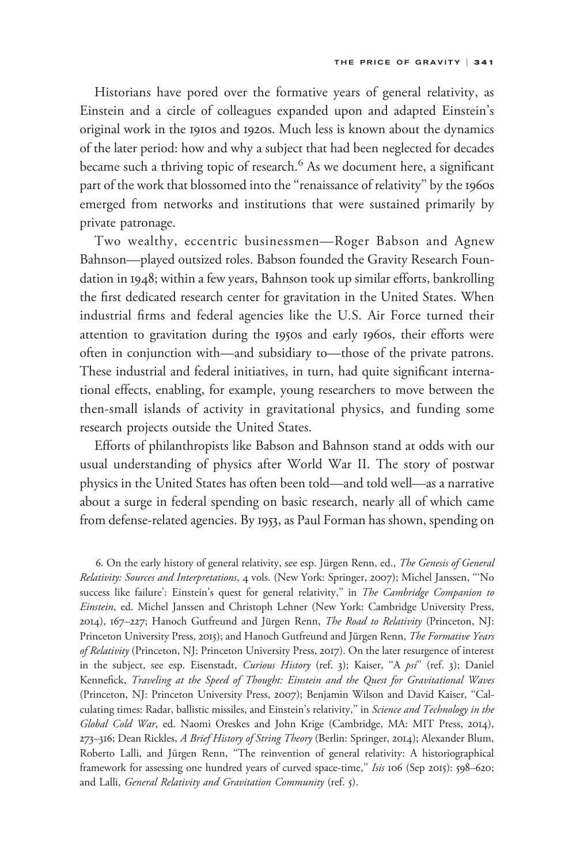Historians have pored over the formative years of general relativity, as Einstein and a circle of colleagues expanded upon and adapted Einstein's original work in the 1910s and 1920s. Much less is known about the dynamics of the later period: how and why a subject that had been neglected for decades became such a thriving topic of research.<sup>6</sup> As we document here, a significant part of the work that blossomed into the ''renaissance of relativity'' by the 1960s emerged from networks and institutions that were sustained primarily by private patronage.

Two wealthy, eccentric businessmen—Roger Babson and Agnew Bahnson—played outsized roles. Babson founded the Gravity Research Foundation in 1948; within a few years, Bahnson took up similar efforts, bankrolling the first dedicated research center for gravitation in the United States. When industrial firms and federal agencies like the U.S. Air Force turned their attention to gravitation during the 1950s and early 1960s, their efforts were often in conjunction with—and subsidiary to—those of the private patrons. These industrial and federal initiatives, in turn, had quite significant international effects, enabling, for example, young researchers to move between the then-small islands of activity in gravitational physics, and funding some research projects outside the United States.

Efforts of philanthropists like Babson and Bahnson stand at odds with our usual understanding of physics after World War II. The story of postwar physics in the United States has often been told—and told well—as a narrative about a surge in federal spending on basic research, nearly all of which came from defense-related agencies. By 1953, as Paul Forman has shown, spending on

6. On the early history of general relativity, see esp. Jürgen Renn, ed., The Genesis of General Relativity: Sources and Interpretations, 4 vols. (New York: Springer, 2007); Michel Janssen, '''No success like failure': Einstein's quest for general relativity," in The Cambridge Companion to Einstein, ed. Michel Janssen and Christoph Lehner (New York: Cambridge University Press, 2014), 167-227; Hanoch Gutfreund and Jürgen Renn, The Road to Relativity (Princeton, NJ: Princeton University Press, 2015); and Hanoch Gutfreund and Jürgen Renn, The Formative Years of Relativity (Princeton, NJ: Princeton University Press, 2017). On the later resurgence of interest in the subject, see esp. Eisenstadt, Curious History (ref. 3); Kaiser, "A psi" (ref. 3); Daniel Kennefick, Traveling at the Speed of Thought: Einstein and the Quest for Gravitational Waves (Princeton, NJ: Princeton University Press, 2007); Benjamin Wilson and David Kaiser, ''Calculating times: Radar, ballistic missiles, and Einstein's relativity," in Science and Technology in the Global Cold War, ed. Naomi Oreskes and John Krige (Cambridge, MA: MIT Press, 2014), 273-316; Dean Rickles, A Brief History of String Theory (Berlin: Springer, 2014); Alexander Blum, Roberto Lalli, and Jürgen Renn, "The reinvention of general relativity: A historiographical framework for assessing one hundred years of curved space-time," Isis 106 (Sep 2015): 598-620; and Lalli, General Relativity and Gravitation Community (ref. 5).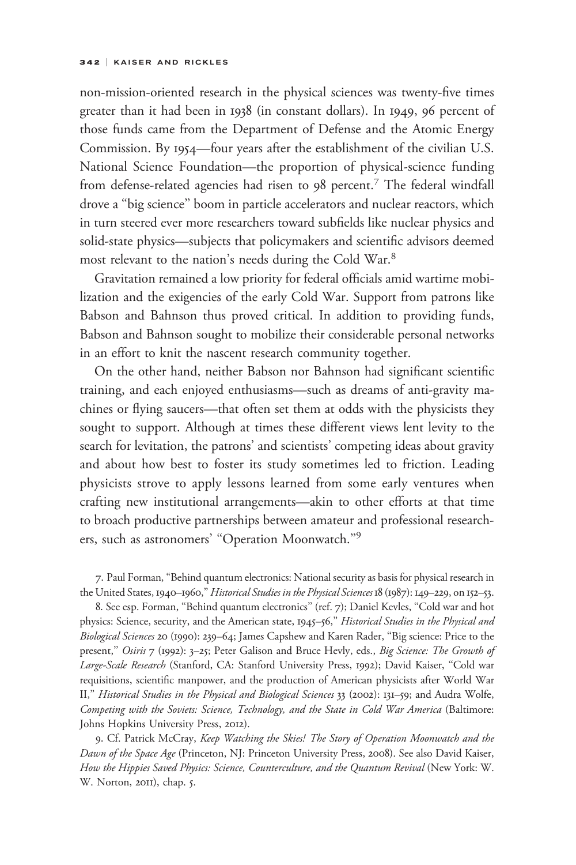non-mission-oriented research in the physical sciences was twenty-five times greater than it had been in 1938 (in constant dollars). In 1949, 96 percent of those funds came from the Department of Defense and the Atomic Energy Commission. By 1954—four years after the establishment of the civilian U.S. National Science Foundation—the proportion of physical-science funding from defense-related agencies had risen to 98 percent.<sup>7</sup> The federal windfall drove a ''big science'' boom in particle accelerators and nuclear reactors, which in turn steered ever more researchers toward subfields like nuclear physics and solid-state physics—subjects that policymakers and scientific advisors deemed most relevant to the nation's needs during the Cold War.<sup>8</sup>

Gravitation remained a low priority for federal officials amid wartime mobilization and the exigencies of the early Cold War. Support from patrons like Babson and Bahnson thus proved critical. In addition to providing funds, Babson and Bahnson sought to mobilize their considerable personal networks in an effort to knit the nascent research community together.

On the other hand, neither Babson nor Bahnson had significant scientific training, and each enjoyed enthusiasms—such as dreams of anti-gravity machines or flying saucers—that often set them at odds with the physicists they sought to support. Although at times these different views lent levity to the search for levitation, the patrons' and scientists' competing ideas about gravity and about how best to foster its study sometimes led to friction. Leading physicists strove to apply lessons learned from some early ventures when crafting new institutional arrangements—akin to other efforts at that time to broach productive partnerships between amateur and professional researchers, such as astronomers' ''Operation Moonwatch.''9

7. Paul Forman, ''Behind quantum electronics: National security as basis for physical research in the United States, 1940–1960," Historical Studies in the Physical Sciences 18 (1987): 149–229, on 152–53.

8. See esp. Forman, ''Behind quantum electronics'' (ref. 7); Daniel Kevles, ''Cold war and hot physics: Science, security, and the American state, 1945–56," Historical Studies in the Physical and Biological Sciences 20 (1990): 239–64; James Capshew and Karen Rader, ''Big science: Price to the present," Osiris 7 (1992): 3-25; Peter Galison and Bruce Hevly, eds., Big Science: The Growth of Large-Scale Research (Stanford, CA: Stanford University Press, 1992); David Kaiser, ''Cold war requisitions, scientific manpower, and the production of American physicists after World War II,'' Historical Studies in the Physical and Biological Sciences 33 (2002): 131–59; and Audra Wolfe, Competing with the Soviets: Science, Technology, and the State in Cold War America (Baltimore: Johns Hopkins University Press, 2012).

9. Cf. Patrick McCray, Keep Watching the Skies! The Story of Operation Moonwatch and the Dawn of the Space Age (Princeton, NJ: Princeton University Press, 2008). See also David Kaiser, How the Hippies Saved Physics: Science, Counterculture, and the Quantum Revival (New York: W. W. Norton, 2011), chap. 5.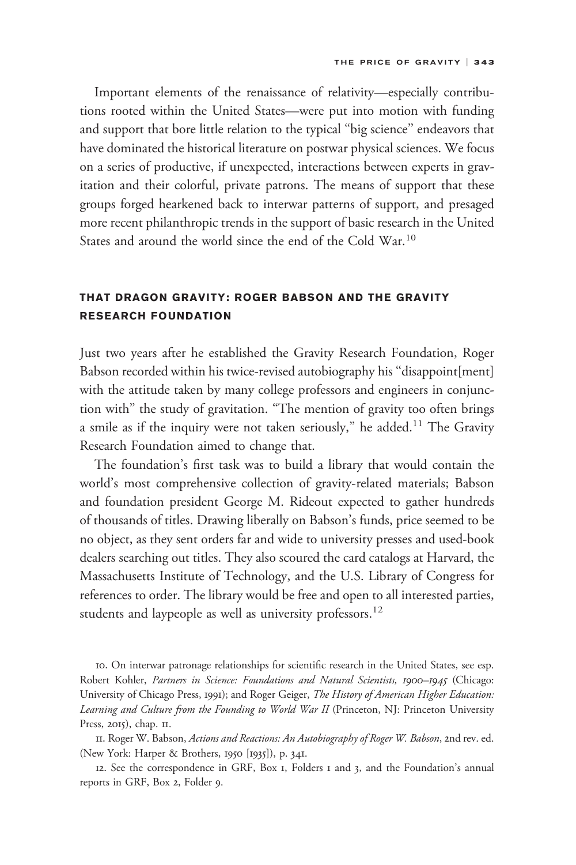Important elements of the renaissance of relativity—especially contributions rooted within the United States—were put into motion with funding and support that bore little relation to the typical ''big science'' endeavors that have dominated the historical literature on postwar physical sciences. We focus on a series of productive, if unexpected, interactions between experts in gravitation and their colorful, private patrons. The means of support that these groups forged hearkened back to interwar patterns of support, and presaged more recent philanthropic trends in the support of basic research in the United States and around the world since the end of the Cold War.<sup>10</sup>

# THAT DRAGON GRAVITY: ROGER BABSON AND THE GRAVITY RESEARCH FOUNDATION

Just two years after he established the Gravity Research Foundation, Roger Babson recorded within his twice-revised autobiography his "disappoint[ment] with the attitude taken by many college professors and engineers in conjunction with'' the study of gravitation. ''The mention of gravity too often brings a smile as if the inquiry were not taken seriously," he added.<sup>11</sup> The Gravity Research Foundation aimed to change that.

The foundation's first task was to build a library that would contain the world's most comprehensive collection of gravity-related materials; Babson and foundation president George M. Rideout expected to gather hundreds of thousands of titles. Drawing liberally on Babson's funds, price seemed to be no object, as they sent orders far and wide to university presses and used-book dealers searching out titles. They also scoured the card catalogs at Harvard, the Massachusetts Institute of Technology, and the U.S. Library of Congress for references to order. The library would be free and open to all interested parties, students and laypeople as well as university professors.<sup>12</sup>

10. On interwar patronage relationships for scientific research in the United States, see esp. Robert Kohler, Partners in Science: Foundations and Natural Scientists, 1900-1945 (Chicago: University of Chicago Press, 1991); and Roger Geiger, The History of American Higher Education: Learning and Culture from the Founding to World War II (Princeton, NJ: Princeton University Press, 2015), chap. 11.

11. Roger W. Babson, Actions and Reactions: An Autobiography of Roger W. Babson, 2nd rev. ed. (New York: Harper & Brothers, 1950 [1935]), p. 341.

12. See the correspondence in GRF, Box 1, Folders 1 and 3, and the Foundation's annual reports in GRF, Box 2, Folder 9.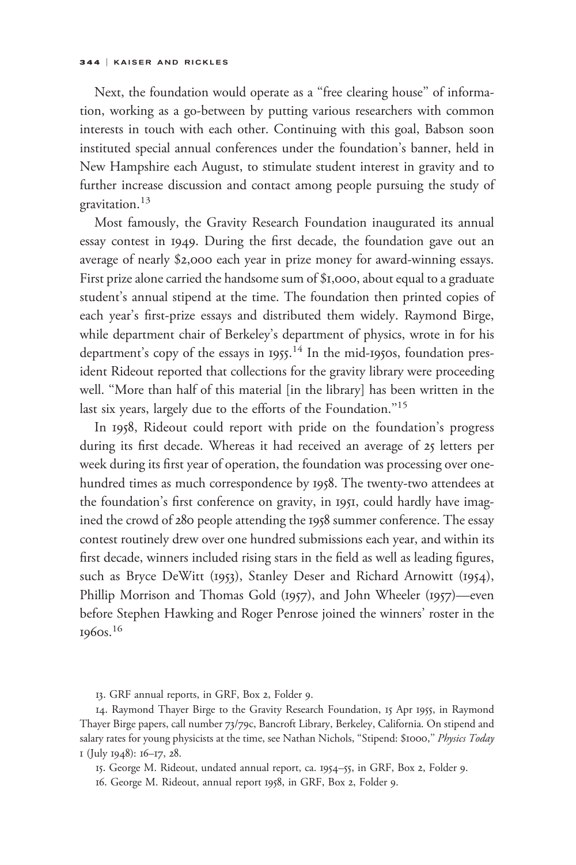Next, the foundation would operate as a "free clearing house" of information, working as a go-between by putting various researchers with common interests in touch with each other. Continuing with this goal, Babson soon instituted special annual conferences under the foundation's banner, held in New Hampshire each August, to stimulate student interest in gravity and to further increase discussion and contact among people pursuing the study of gravitation.<sup>13</sup>

Most famously, the Gravity Research Foundation inaugurated its annual essay contest in 1949. During the first decade, the foundation gave out an average of nearly \$2,000 each year in prize money for award-winning essays. First prize alone carried the handsome sum of \$1,000, about equal to a graduate student's annual stipend at the time. The foundation then printed copies of each year's first-prize essays and distributed them widely. Raymond Birge, while department chair of Berkeley's department of physics, wrote in for his department's copy of the essays in 1955.<sup>14</sup> In the mid-1950s, foundation president Rideout reported that collections for the gravity library were proceeding well. ''More than half of this material [in the library] has been written in the last six years, largely due to the efforts of the Foundation.''15

In 1958, Rideout could report with pride on the foundation's progress during its first decade. Whereas it had received an average of 25 letters per week during its first year of operation, the foundation was processing over onehundred times as much correspondence by 1958. The twenty-two attendees at the foundation's first conference on gravity, in 1951, could hardly have imagined the crowd of 280 people attending the 1958 summer conference. The essay contest routinely drew over one hundred submissions each year, and within its first decade, winners included rising stars in the field as well as leading figures, such as Bryce DeWitt (1953), Stanley Deser and Richard Arnowitt (1954), Phillip Morrison and Thomas Gold (1957), and John Wheeler (1957)—even before Stephen Hawking and Roger Penrose joined the winners' roster in the 1960s.<sup>16</sup>

13. GRF annual reports, in GRF, Box 2, Folder 9.

14. Raymond Thayer Birge to the Gravity Research Foundation, 15 Apr 1955, in Raymond Thayer Birge papers, call number 73/79c, Bancroft Library, Berkeley, California. On stipend and salary rates for young physicists at the time, see Nathan Nichols, "Stipend: \$1000," Physics Today 1 (July 1948): 16–17, 28.

15. George M. Rideout, undated annual report, ca. 1954–55, in GRF, Box 2, Folder 9.

16. George M. Rideout, annual report 1958, in GRF, Box 2, Folder 9.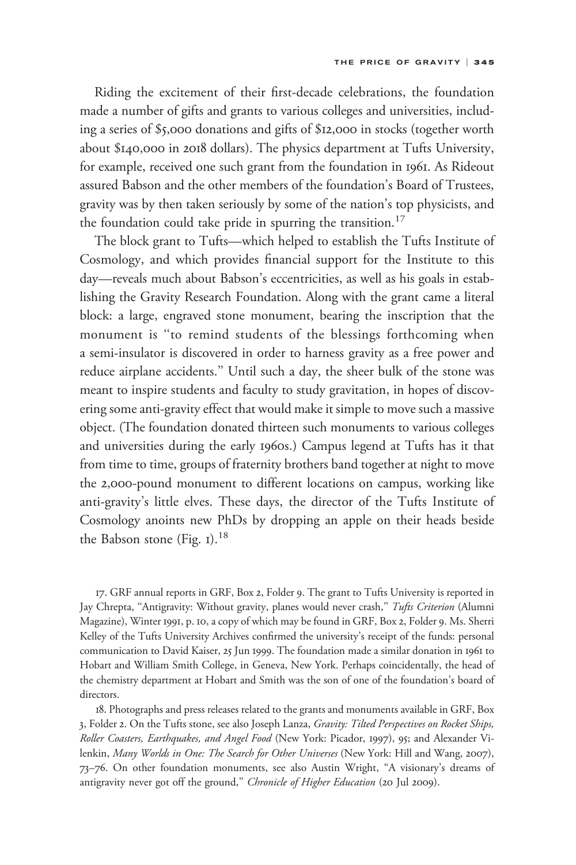Riding the excitement of their first-decade celebrations, the foundation made a number of gifts and grants to various colleges and universities, including a series of \$5,000 donations and gifts of \$12,000 in stocks (together worth about \$140,000 in 2018 dollars). The physics department at Tufts University, for example, received one such grant from the foundation in 1961. As Rideout assured Babson and the other members of the foundation's Board of Trustees, gravity was by then taken seriously by some of the nation's top physicists, and the foundation could take pride in spurring the transition.<sup>17</sup>

The block grant to Tufts—which helped to establish the Tufts Institute of Cosmology, and which provides financial support for the Institute to this day—reveals much about Babson's eccentricities, as well as his goals in establishing the Gravity Research Foundation. Along with the grant came a literal block: a large, engraved stone monument, bearing the inscription that the monument is ''to remind students of the blessings forthcoming when a semi-insulator is discovered in order to harness gravity as a free power and reduce airplane accidents.'' Until such a day, the sheer bulk of the stone was meant to inspire students and faculty to study gravitation, in hopes of discovering some anti-gravity effect that would make it simple to move such a massive object. (The foundation donated thirteen such monuments to various colleges and universities during the early 1960s.) Campus legend at Tufts has it that from time to time, groups of fraternity brothers band together at night to move the 2,000-pound monument to different locations on campus, working like anti-gravity's little elves. These days, the director of the Tufts Institute of Cosmology anoints new PhDs by dropping an apple on their heads beside the Babson stone (Fig. 1).<sup>18</sup>

17. GRF annual reports in GRF, Box 2, Folder 9. The grant to Tufts University is reported in Jay Chrepta, "Antigravity: Without gravity, planes would never crash," Tufts Criterion (Alumni Magazine), Winter 1991, p. 10, a copy of which may be found in GRF, Box 2, Folder 9. Ms. Sherri Kelley of the Tufts University Archives confirmed the university's receipt of the funds: personal communication to David Kaiser, 25 Jun 1999. The foundation made a similar donation in 1961 to Hobart and William Smith College, in Geneva, New York. Perhaps coincidentally, the head of the chemistry department at Hobart and Smith was the son of one of the foundation's board of directors.

18. Photographs and press releases related to the grants and monuments available in GRF, Box 3, Folder 2. On the Tufts stone, see also Joseph Lanza, Gravity: Tilted Perspectives on Rocket Ships, Roller Coasters, Earthquakes, and Angel Food (New York: Picador, 1997), 95; and Alexander Vilenkin, Many Worlds in One: The Search for Other Universes (New York: Hill and Wang, 2007), 73–76. On other foundation monuments, see also Austin Wright, ''A visionary's dreams of antigravity never got off the ground," Chronicle of Higher Education (20 Jul 2009).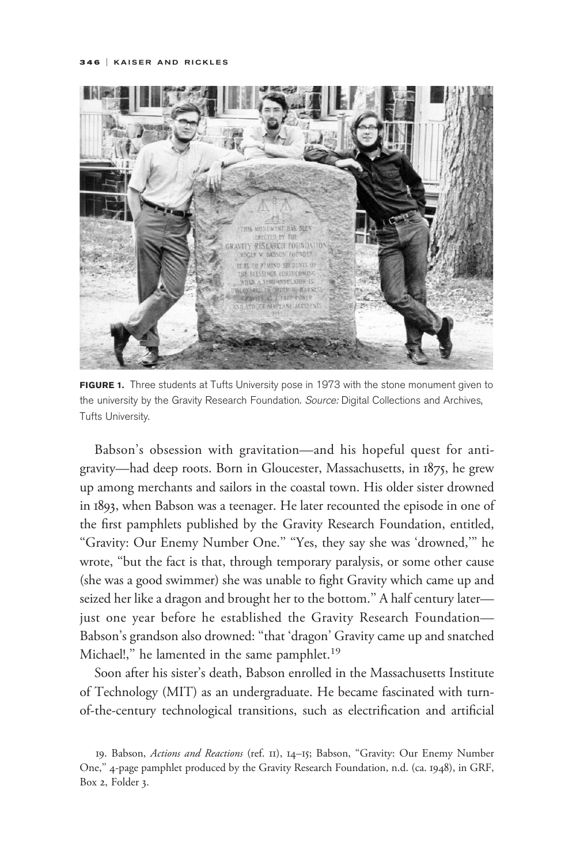

FIGURE 1. Three students at Tufts University pose in 1973 with the stone monument given to the university by the Gravity Research Foundation. Source: Digital Collections and Archives, Tufts University.

Babson's obsession with gravitation—and his hopeful quest for antigravity—had deep roots. Born in Gloucester, Massachusetts, in 1875, he grew up among merchants and sailors in the coastal town. His older sister drowned in 1893, when Babson was a teenager. He later recounted the episode in one of the first pamphlets published by the Gravity Research Foundation, entitled, ''Gravity: Our Enemy Number One.'' ''Yes, they say she was 'drowned,''' he wrote, ''but the fact is that, through temporary paralysis, or some other cause (she was a good swimmer) she was unable to fight Gravity which came up and seized her like a dragon and brought her to the bottom.'' A half century later just one year before he established the Gravity Research Foundation— Babson's grandson also drowned: ''that 'dragon' Gravity came up and snatched Michael!," he lamented in the same pamphlet.<sup>19</sup>

Soon after his sister's death, Babson enrolled in the Massachusetts Institute of Technology (MIT) as an undergraduate. He became fascinated with turnof-the-century technological transitions, such as electrification and artificial

<sup>19.</sup> Babson, Actions and Reactions (ref. 11), 14-15; Babson, "Gravity: Our Enemy Number One,'' 4-page pamphlet produced by the Gravity Research Foundation, n.d. (ca. 1948), in GRF, Box 2, Folder 3.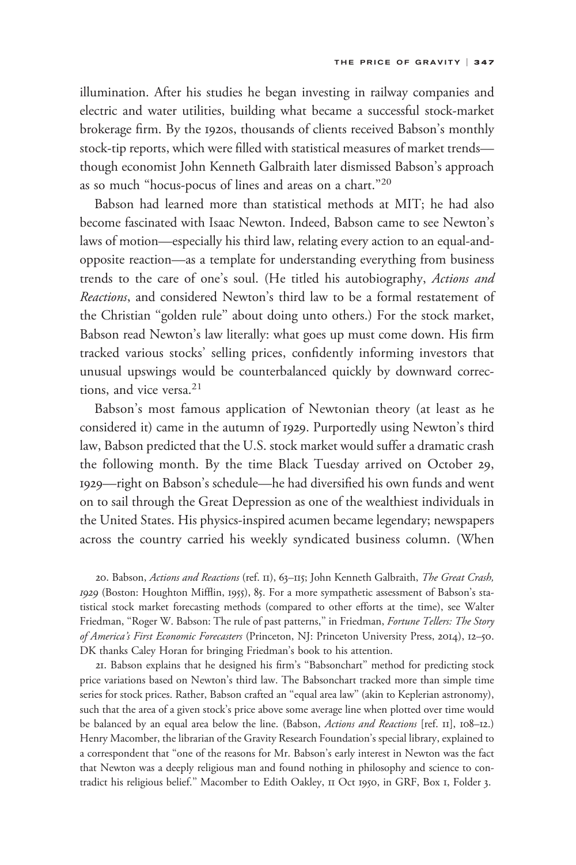illumination. After his studies he began investing in railway companies and electric and water utilities, building what became a successful stock-market brokerage firm. By the 1920s, thousands of clients received Babson's monthly stock-tip reports, which were filled with statistical measures of market trends though economist John Kenneth Galbraith later dismissed Babson's approach as so much ''hocus-pocus of lines and areas on a chart.''<sup>20</sup>

Babson had learned more than statistical methods at MIT; he had also become fascinated with Isaac Newton. Indeed, Babson came to see Newton's laws of motion—especially his third law, relating every action to an equal-andopposite reaction—as a template for understanding everything from business trends to the care of one's soul. (He titled his autobiography, Actions and Reactions, and considered Newton's third law to be a formal restatement of the Christian ''golden rule'' about doing unto others.) For the stock market, Babson read Newton's law literally: what goes up must come down. His firm tracked various stocks' selling prices, confidently informing investors that unusual upswings would be counterbalanced quickly by downward corrections, and vice versa. $21$ 

Babson's most famous application of Newtonian theory (at least as he considered it) came in the autumn of 1929. Purportedly using Newton's third law, Babson predicted that the U.S. stock market would suffer a dramatic crash the following month. By the time Black Tuesday arrived on October 29, 1929—right on Babson's schedule—he had diversified his own funds and went on to sail through the Great Depression as one of the wealthiest individuals in the United States. His physics-inspired acumen became legendary; newspapers across the country carried his weekly syndicated business column. (When

20. Babson, Actions and Reactions (ref. II), 63-115; John Kenneth Galbraith, The Great Crash, 1929 (Boston: Houghton Mifflin, 1955), 85. For a more sympathetic assessment of Babson's statistical stock market forecasting methods (compared to other efforts at the time), see Walter Friedman, "Roger W. Babson: The rule of past patterns," in Friedman, Fortune Tellers: The Story of America's First Economic Forecasters (Princeton, NJ: Princeton University Press, 2014), 12-50. DK thanks Caley Horan for bringing Friedman's book to his attention.

21. Babson explains that he designed his firm's ''Babsonchart'' method for predicting stock price variations based on Newton's third law. The Babsonchart tracked more than simple time series for stock prices. Rather, Babson crafted an ''equal area law'' (akin to Keplerian astronomy), such that the area of a given stock's price above some average line when plotted over time would be balanced by an equal area below the line. (Babson, Actions and Reactions [ref. 11], 108-12.) Henry Macomber, the librarian of the Gravity Research Foundation's special library, explained to a correspondent that ''one of the reasons for Mr. Babson's early interest in Newton was the fact that Newton was a deeply religious man and found nothing in philosophy and science to contradict his religious belief.'' Macomber to Edith Oakley, 11 Oct 1950, in GRF, Box 1, Folder 3.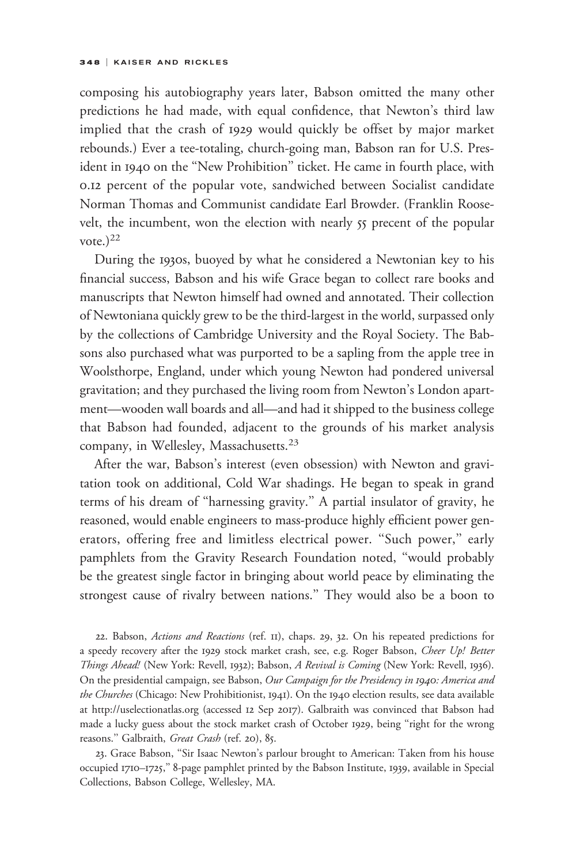composing his autobiography years later, Babson omitted the many other predictions he had made, with equal confidence, that Newton's third law implied that the crash of 1929 would quickly be offset by major market rebounds.) Ever a tee-totaling, church-going man, Babson ran for U.S. President in 1940 on the ''New Prohibition'' ticket. He came in fourth place, with 0.12 percent of the popular vote, sandwiched between Socialist candidate Norman Thomas and Communist candidate Earl Browder. (Franklin Roosevelt, the incumbent, won the election with nearly 55 precent of the popular vote. $)^{22}$ 

During the 1930s, buoyed by what he considered a Newtonian key to his financial success, Babson and his wife Grace began to collect rare books and manuscripts that Newton himself had owned and annotated. Their collection of Newtoniana quickly grew to be the third-largest in the world, surpassed only by the collections of Cambridge University and the Royal Society. The Babsons also purchased what was purported to be a sapling from the apple tree in Woolsthorpe, England, under which young Newton had pondered universal gravitation; and they purchased the living room from Newton's London apartment—wooden wall boards and all—and had it shipped to the business college that Babson had founded, adjacent to the grounds of his market analysis company, in Wellesley, Massachusetts.<sup>23</sup>

After the war, Babson's interest (even obsession) with Newton and gravitation took on additional, Cold War shadings. He began to speak in grand terms of his dream of ''harnessing gravity.'' A partial insulator of gravity, he reasoned, would enable engineers to mass-produce highly efficient power generators, offering free and limitless electrical power. ''Such power,'' early pamphlets from the Gravity Research Foundation noted, ''would probably be the greatest single factor in bringing about world peace by eliminating the strongest cause of rivalry between nations.'' They would also be a boon to

22. Babson, Actions and Reactions (ref. 11), chaps. 29, 32. On his repeated predictions for a speedy recovery after the 1929 stock market crash, see, e.g. Roger Babson, Cheer Up! Better Things Ahead! (New York: Revell, 1932); Babson, A Revival is Coming (New York: Revell, 1936). On the presidential campaign, see Babson, Our Campaign for the Presidency in 1940: America and the Churches (Chicago: New Prohibitionist, 1941). On the 1940 election results, see data available at<http://uselectionatlas.org> (accessed 12 Sep 2017). Galbraith was convinced that Babson had made a lucky guess about the stock market crash of October 1929, being ''right for the wrong reasons.'' Galbraith, Great Crash (ref. 20), 85.

23. Grace Babson, ''Sir Isaac Newton's parlour brought to American: Taken from his house occupied 1710–1725,'' 8-page pamphlet printed by the Babson Institute, 1939, available in Special Collections, Babson College, Wellesley, MA.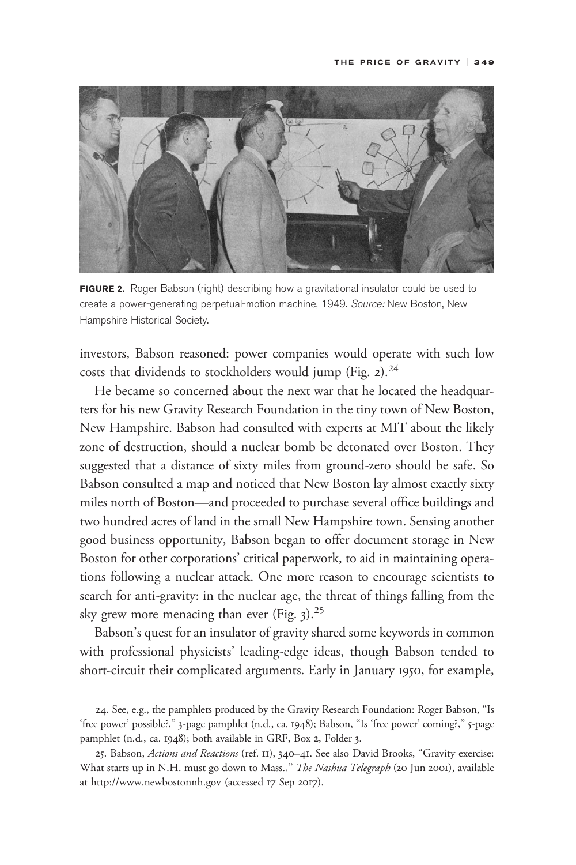

FIGURE 2. Roger Babson (right) describing how a gravitational insulator could be used to create a power-generating perpetual-motion machine, 1949. Source: New Boston, New Hampshire Historical Society.

investors, Babson reasoned: power companies would operate with such low costs that dividends to stockholders would jump (Fig.  $2$ ).<sup>24</sup>

He became so concerned about the next war that he located the headquarters for his new Gravity Research Foundation in the tiny town of New Boston, New Hampshire. Babson had consulted with experts at MIT about the likely zone of destruction, should a nuclear bomb be detonated over Boston. They suggested that a distance of sixty miles from ground-zero should be safe. So Babson consulted a map and noticed that New Boston lay almost exactly sixty miles north of Boston—and proceeded to purchase several office buildings and two hundred acres of land in the small New Hampshire town. Sensing another good business opportunity, Babson began to offer document storage in New Boston for other corporations' critical paperwork, to aid in maintaining operations following a nuclear attack. One more reason to encourage scientists to search for anti-gravity: in the nuclear age, the threat of things falling from the sky grew more menacing than ever (Fig.  $3$ ).<sup>25</sup>

Babson's quest for an insulator of gravity shared some keywords in common with professional physicists' leading-edge ideas, though Babson tended to short-circuit their complicated arguments. Early in January 1950, for example,

24. See, e.g., the pamphlets produced by the Gravity Research Foundation: Roger Babson, ''Is 'free power' possible?,'' 3-page pamphlet (n.d., ca. 1948); Babson, ''Is 'free power' coming?,'' 5-page pamphlet (n.d., ca. 1948); both available in GRF, Box 2, Folder 3.

25. Babson, Actions and Reactions (ref. 11), 340–41. See also David Brooks, ''Gravity exercise: What starts up in N.H. must go down to Mass.," The Nashua Telegraph (20 Jun 2001), available at<http://www.newbostonnh.gov> (accessed 17 Sep 2017).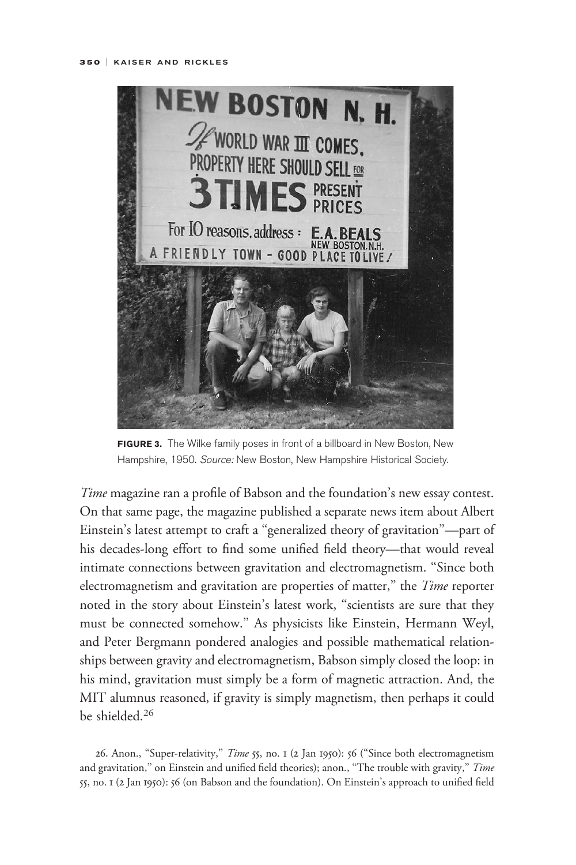

FIGURE 3. The Wilke family poses in front of a billboard in New Boston, New Hampshire, 1950. Source: New Boston, New Hampshire Historical Society.

Time magazine ran a profile of Babson and the foundation's new essay contest. On that same page, the magazine published a separate news item about Albert Einstein's latest attempt to craft a ''generalized theory of gravitation''—part of his decades-long effort to find some unified field theory—that would reveal intimate connections between gravitation and electromagnetism. ''Since both electromagnetism and gravitation are properties of matter," the Time reporter noted in the story about Einstein's latest work, ''scientists are sure that they must be connected somehow.'' As physicists like Einstein, Hermann Weyl, and Peter Bergmann pondered analogies and possible mathematical relationships between gravity and electromagnetism, Babson simply closed the loop: in his mind, gravitation must simply be a form of magnetic attraction. And, the MIT alumnus reasoned, if gravity is simply magnetism, then perhaps it could be shielded.<sup>26</sup>

26. Anon., "Super-relativity," Time 55, no. 1 (2 Jan 1950): 56 ("Since both electromagnetism and gravitation," on Einstein and unified field theories); anon., "The trouble with gravity," Time 55, no. 1 (2 Jan 1950): 56 (on Babson and the foundation). On Einstein's approach to unified field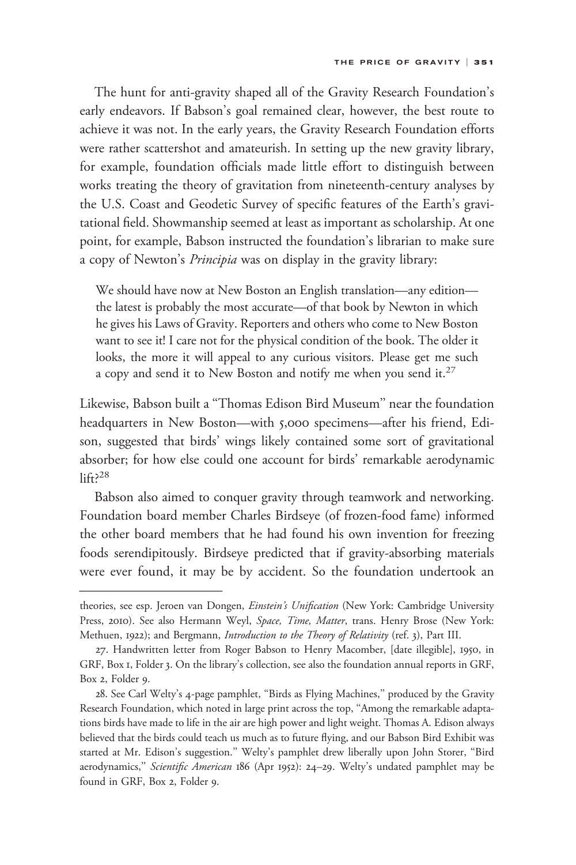The hunt for anti-gravity shaped all of the Gravity Research Foundation's early endeavors. If Babson's goal remained clear, however, the best route to achieve it was not. In the early years, the Gravity Research Foundation efforts were rather scattershot and amateurish. In setting up the new gravity library, for example, foundation officials made little effort to distinguish between works treating the theory of gravitation from nineteenth-century analyses by the U.S. Coast and Geodetic Survey of specific features of the Earth's gravitational field. Showmanship seemed at least as important as scholarship. At one point, for example, Babson instructed the foundation's librarian to make sure a copy of Newton's *Principia* was on display in the gravity library: were rather scattershot and ama<br>for example, foundation officia<br>works treating the theory of gra<br>the U.S. Coast and Geodetic S<br>tational field. Showmanship seer<br>point, for example, Babson inst<br>a copy of Newton's *Principia* 

We should have now at New Boston an English translation—any edition the latest is probably the most accurate—of that book by Newton in which he gives his Laws of Gravity. Reporters and others who come to New Boston want to see it! I care not for the physical condition of the book. The older it looks, the more it will appeal to any curious visitors. Please get me such a copy and send it to New Boston and notify me when you send it.<sup>27</sup>

Likewise, Babson built a ''Thomas Edison Bird Museum'' near the foundation headquarters in New Boston—with 5,000 specimens—after his friend, Edison, suggested that birds' wings likely contained some sort of gravitational absorber; for how else could one account for birds' remarkable aerodynamic  $l$ ift?<sup>28</sup>

Babson also aimed to conquer gravity through teamwork and networking. Foundation board member Charles Birdseye (of frozen-food fame) informed the other board members that he had found his own invention for freezing foods serendipitously. Birdseye predicted that if gravity-absorbing materials were ever found, it may be by accident. So the foundation undertook an

theories, see esp. Jeroen van Dongen, Einstein's Unification (New York: Cambridge University Press, 2010). See also Hermann Weyl, Space, Time, Matter, trans. Henry Brose (New York: Methuen, 1922); and Bergmann, Introduction to the Theory of Relativity (ref. 3), Part III.

<sup>27.</sup> Handwritten letter from Roger Babson to Henry Macomber, [date illegible], 1950, in GRF, Box 1, Folder 3. On the library's collection, see also the foundation annual reports in GRF, Box 2, Folder 9.

<sup>28.</sup> See Carl Welty's 4-page pamphlet, ''Birds as Flying Machines,'' produced by the Gravity Research Foundation, which noted in large print across the top, ''Among the remarkable adaptations birds have made to life in the air are high power and light weight. Thomas A. Edison always believed that the birds could teach us much as to future flying, and our Babson Bird Exhibit was started at Mr. Edison's suggestion.'' Welty's pamphlet drew liberally upon John Storer, ''Bird aerodynamics," Scientific American 186 (Apr 1952): 24-29. Welty's undated pamphlet may be found in GRF, Box 2, Folder 9.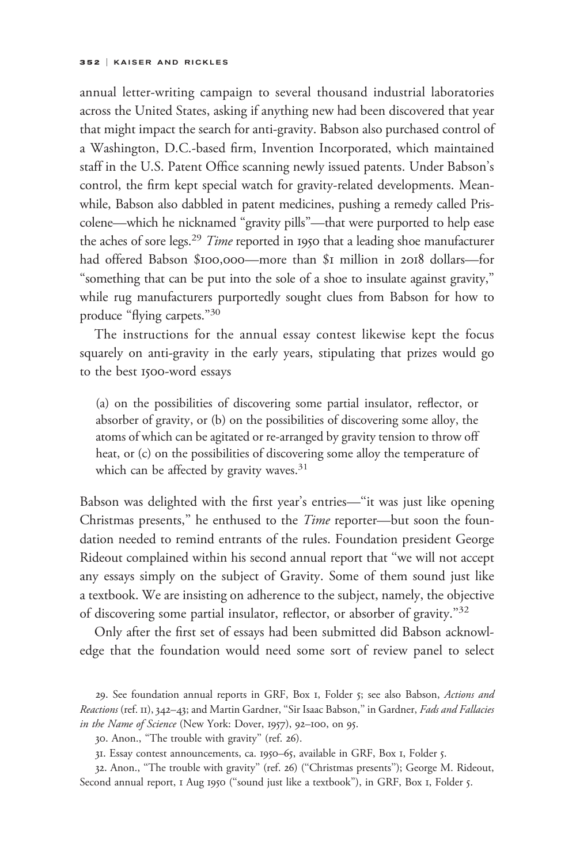annual letter-writing campaign to several thousand industrial laboratories across the United States, asking if anything new had been discovered that year that might impact the search for anti-gravity. Babson also purchased control of a Washington, D.C.-based firm, Invention Incorporated, which maintained staff in the U.S. Patent Office scanning newly issued patents. Under Babson's control, the firm kept special watch for gravity-related developments. Meanwhile, Babson also dabbled in patent medicines, pushing a remedy called Priscolene—which he nicknamed ''gravity pills''—that were purported to help ease the aches of sore legs.<sup>29</sup> Time reported in 1950 that a leading shoe manufacturer had offered Babson \$100,000—more than \$1 million in 2018 dollars—for ''something that can be put into the sole of a shoe to insulate against gravity,'' while rug manufacturers purportedly sought clues from Babson for how to produce "flying carpets."<sup>30</sup>

The instructions for the annual essay contest likewise kept the focus squarely on anti-gravity in the early years, stipulating that prizes would go to the best 1500-word essays

(a) on the possibilities of discovering some partial insulator, reflector, or absorber of gravity, or (b) on the possibilities of discovering some alloy, the atoms of which can be agitated or re-arranged by gravity tension to throw off heat, or (c) on the possibilities of discovering some alloy the temperature of which can be affected by gravity waves.<sup>31</sup>

Babson was delighted with the first year's entries—''it was just like opening Christmas presents," he enthused to the *Time* reporter—but soon the foundation needed to remind entrants of the rules. Foundation president George Rideout complained within his second annual report that ''we will not accept any essays simply on the subject of Gravity. Some of them sound just like a textbook. We are insisting on adherence to the subject, namely, the objective of discovering some partial insulator, reflector, or absorber of gravity.''32

Only after the first set of essays had been submitted did Babson acknowledge that the foundation would need some sort of review panel to select

<sup>29.</sup> See foundation annual reports in GRF, Box 1, Folder 5; see also Babson, Actions and Reactions (ref. 11), 342-43; and Martin Gardner, "Sir Isaac Babson," in Gardner, Fads and Fallacies in the Name of Science (New York: Dover, 1957), 92–100, on 95.

<sup>30.</sup> Anon., ''The trouble with gravity'' (ref. 26).

<sup>31.</sup> Essay contest announcements, ca. 1950–65, available in GRF, Box 1, Folder 5.

<sup>32.</sup> Anon., ''The trouble with gravity'' (ref. 26) (''Christmas presents''); George M. Rideout, Second annual report, 1 Aug 1950 ("sound just like a textbook"), in GRF, Box 1, Folder 5.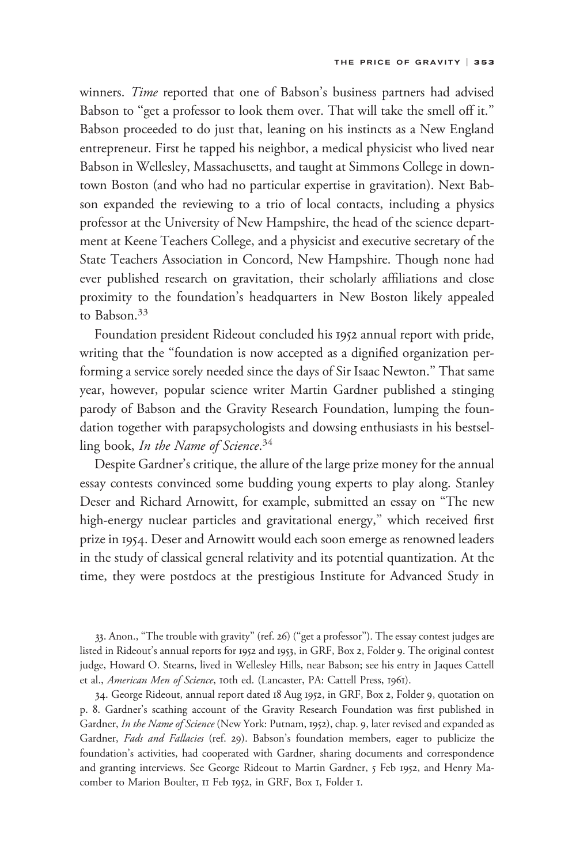winners. Time reported that one of Babson's business partners had advised Babson to "get a professor to look them over. That will take the smell off it." Babson proceeded to do just that, leaning on his instincts as a New England entrepreneur. First he tapped his neighbor, a medical physicist who lived near Babson in Wellesley, Massachusetts, and taught at Simmons College in downtown Boston (and who had no particular expertise in gravitation). Next Babson expanded the reviewing to a trio of local contacts, including a physics professor at the University of New Hampshire, the head of the science department at Keene Teachers College, and a physicist and executive secretary of the State Teachers Association in Concord, New Hampshire. Though none had ever published research on gravitation, their scholarly affiliations and close proximity to the foundation's headquarters in New Boston likely appealed to Babson.<sup>33</sup>

Foundation president Rideout concluded his 1952 annual report with pride, writing that the "foundation is now accepted as a dignified organization performing a service sorely needed since the days of Sir Isaac Newton.'' That same year, however, popular science writer Martin Gardner published a stinging parody of Babson and the Gravity Research Foundation, lumping the foundation together with parapsychologists and dowsing enthusiasts in his bestselling book, In the Name of Science.<sup>34</sup>

Despite Gardner's critique, the allure of the large prize money for the annual essay contests convinced some budding young experts to play along. Stanley Deser and Richard Arnowitt, for example, submitted an essay on ''The new high-energy nuclear particles and gravitational energy," which received first prize in 1954. Deser and Arnowitt would each soon emerge as renowned leaders in the study of classical general relativity and its potential quantization. At the time, they were postdocs at the prestigious Institute for Advanced Study in

33. Anon., ''The trouble with gravity'' (ref. 26) (''get a professor''). The essay contest judges are listed in Rideout's annual reports for 1952 and 1953, in GRF, Box 2, Folder 9. The original contest judge, Howard O. Stearns, lived in Wellesley Hills, near Babson; see his entry in Jaques Cattell et al., American Men of Science, 10th ed. (Lancaster, PA: Cattell Press, 1961).

34. George Rideout, annual report dated 18 Aug 1952, in GRF, Box 2, Folder 9, quotation on p. 8. Gardner's scathing account of the Gravity Research Foundation was first published in Gardner, In the Name of Science (New York: Putnam, 1952), chap. 9, later revised and expanded as Gardner, Fads and Fallacies (ref. 29). Babson's foundation members, eager to publicize the foundation's activities, had cooperated with Gardner, sharing documents and correspondence and granting interviews. See George Rideout to Martin Gardner, 5 Feb 1952, and Henry Macomber to Marion Boulter, 11 Feb 1952, in GRF, Box 1, Folder 1.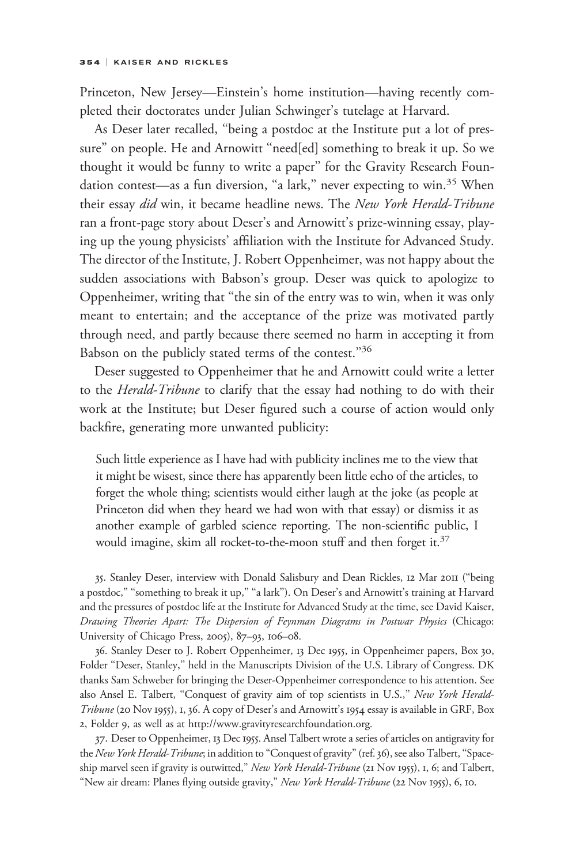Princeton, New Jersey—Einstein's home institution—having recently completed their doctorates under Julian Schwinger's tutelage at Harvard.

As Deser later recalled, ''being a postdoc at the Institute put a lot of pressure'' on people. He and Arnowitt ''need[ed] something to break it up. So we thought it would be funny to write a paper'' for the Gravity Research Foundation contest—as a fun diversion, "a lark," never expecting to win.<sup>35</sup> When their essay did win, it became headline news. The New York Herald-Tribune ran a front-page story about Deser's and Arnowitt's prize-winning essay, playing up the young physicists' affiliation with the Institute for Advanced Study. The director of the Institute, J. Robert Oppenheimer, was not happy about the sudden associations with Babson's group. Deser was quick to apologize to Oppenheimer, writing that ''the sin of the entry was to win, when it was only meant to entertain; and the acceptance of the prize was motivated partly through need, and partly because there seemed no harm in accepting it from Babson on the publicly stated terms of the contest."36

Deser suggested to Oppenheimer that he and Arnowitt could write a letter to the Herald-Tribune to clarify that the essay had nothing to do with their work at the Institute; but Deser figured such a course of action would only backfire, generating more unwanted publicity:

Such little experience as I have had with publicity inclines me to the view that it might be wisest, since there has apparently been little echo of the articles, to forget the whole thing; scientists would either laugh at the joke (as people at Princeton did when they heard we had won with that essay) or dismiss it as another example of garbled science reporting. The non-scientific public, I would imagine, skim all rocket-to-the-moon stuff and then forget it.<sup>37</sup>

35. Stanley Deser, interview with Donald Salisbury and Dean Rickles, 12 Mar 2011 (''being a postdoc," "something to break it up," "a lark"). On Deser's and Arnowitt's training at Harvard and the pressures of postdoc life at the Institute for Advanced Study at the time, see David Kaiser, Drawing Theories Apart: The Dispersion of Feynman Diagrams in Postwar Physics (Chicago: University of Chicago Press, 2005), 87–93, 106–08.

36. Stanley Deser to J. Robert Oppenheimer, 13 Dec 1955, in Oppenheimer papers, Box 30, Folder "Deser, Stanley," held in the Manuscripts Division of the U.S. Library of Congress. DK thanks Sam Schweber for bringing the Deser-Oppenheimer correspondence to his attention. See also Ansel E. Talbert, "Conquest of gravity aim of top scientists in U.S.," New York Herald-Tribune (20 Nov 1955), 1, 36. A copy of Deser's and Arnowitt's 1954 essay is available in GRF, Box 2, Folder 9, as well as at<http://www.gravityresearchfoundation.org>.

37. Deser to Oppenheimer, 13 Dec 1955. Ansel Talbert wrote a series of articles on antigravity for the New York Herald-Tribune; in addition to "Conquest of gravity" (ref. 36), see also Talbert, "Spaceship marvel seen if gravity is outwitted," New York Herald-Tribune (21 Nov 1955), 1, 6; and Talbert, "New air dream: Planes flying outside gravity," New York Herald-Tribune (22 Nov 1955), 6, 10.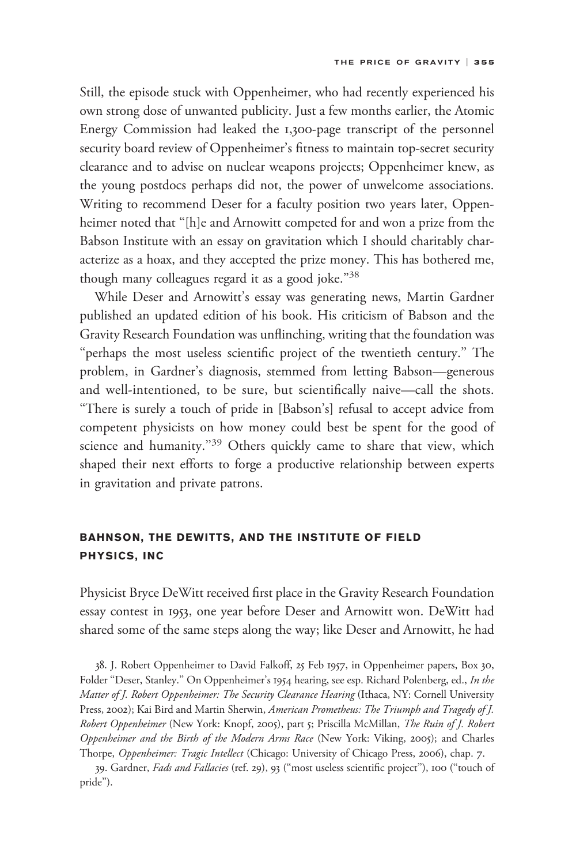Still, the episode stuck with Oppenheimer, who had recently experienced his own strong dose of unwanted publicity. Just a few months earlier, the Atomic Energy Commission had leaked the 1,300-page transcript of the personnel security board review of Oppenheimer's fitness to maintain top-secret security clearance and to advise on nuclear weapons projects; Oppenheimer knew, as the young postdocs perhaps did not, the power of unwelcome associations. Writing to recommend Deser for a faculty position two years later, Oppenheimer noted that ''[h]e and Arnowitt competed for and won a prize from the Babson Institute with an essay on gravitation which I should charitably characterize as a hoax, and they accepted the prize money. This has bothered me, though many colleagues regard it as a good joke."<sup>38</sup>

While Deser and Arnowitt's essay was generating news, Martin Gardner published an updated edition of his book. His criticism of Babson and the Gravity Research Foundation was unflinching, writing that the foundation was "perhaps the most useless scientific project of the twentieth century." The problem, in Gardner's diagnosis, stemmed from letting Babson—generous and well-intentioned, to be sure, but scientifically naive—call the shots. ''There is surely a touch of pride in [Babson's] refusal to accept advice from competent physicists on how money could best be spent for the good of science and humanity."<sup>39</sup> Others quickly came to share that view, which shaped their next efforts to forge a productive relationship between experts in gravitation and private patrons.

## BAHNSON, THE DEWITTS, AND THE INSTITUTE OF FIELD PHYSICS, INC

Physicist Bryce DeWitt received first place in the Gravity Research Foundation essay contest in 1953, one year before Deser and Arnowitt won. DeWitt had shared some of the same steps along the way; like Deser and Arnowitt, he had

38. J. Robert Oppenheimer to David Falkoff, 25 Feb 1957, in Oppenheimer papers, Box 30, Folder "Deser, Stanley." On Oppenheimer's 1954 hearing, see esp. Richard Polenberg, ed., In the Matter of J. Robert Oppenheimer: The Security Clearance Hearing (Ithaca, NY: Cornell University Press, 2002); Kai Bird and Martin Sherwin, American Prometheus: The Triumph and Tragedy of J. Robert Oppenheimer (New York: Knopf, 2005), part 5; Priscilla McMillan, The Ruin of J. Robert Oppenheimer and the Birth of the Modern Arms Race (New York: Viking, 2005); and Charles Thorpe, Oppenheimer: Tragic Intellect (Chicago: University of Chicago Press, 2006), chap. 7.

39. Gardner, Fads and Fallacies (ref. 29), 93 ("most useless scientific project"), 100 ("touch of pride'').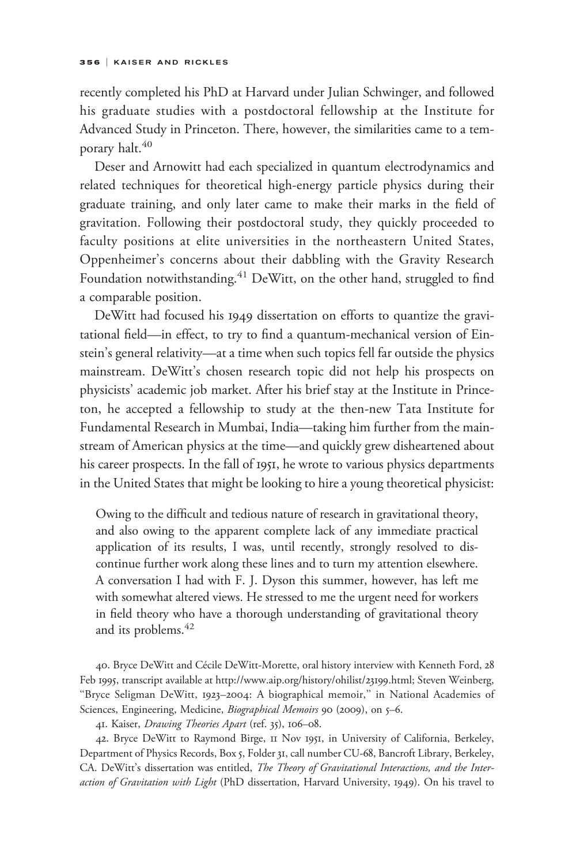recently completed his PhD at Harvard under Julian Schwinger, and followed his graduate studies with a postdoctoral fellowship at the Institute for Advanced Study in Princeton. There, however, the similarities came to a temporary halt.<sup>40</sup>

Deser and Arnowitt had each specialized in quantum electrodynamics and related techniques for theoretical high-energy particle physics during their graduate training, and only later came to make their marks in the field of gravitation. Following their postdoctoral study, they quickly proceeded to faculty positions at elite universities in the northeastern United States, Oppenheimer's concerns about their dabbling with the Gravity Research Foundation notwithstanding.<sup>41</sup> DeWitt, on the other hand, struggled to find a comparable position.

DeWitt had focused his 1949 dissertation on efforts to quantize the gravitational field—in effect, to try to find a quantum-mechanical version of Einstein's general relativity—at a time when such topics fell far outside the physics mainstream. DeWitt's chosen research topic did not help his prospects on physicists' academic job market. After his brief stay at the Institute in Princeton, he accepted a fellowship to study at the then-new Tata Institute for Fundamental Research in Mumbai, India—taking him further from the mainstream of American physics at the time—and quickly grew disheartened about his career prospects. In the fall of 1951, he wrote to various physics departments in the United States that might be looking to hire a young theoretical physicist:

Owing to the difficult and tedious nature of research in gravitational theory, and also owing to the apparent complete lack of any immediate practical application of its results, I was, until recently, strongly resolved to discontinue further work along these lines and to turn my attention elsewhere. A conversation I had with F. J. Dyson this summer, however, has left me with somewhat altered views. He stressed to me the urgent need for workers in field theory who have a thorough understanding of gravitational theory and its problems.<sup>42</sup>

40. Bryce DeWitt and Cécile DeWitt-Morette, oral history interview with Kenneth Ford, 28 Feb 1995, transcript available at [http://www.aip.org/history/ohilist/](http://www.aip.org/history/ohilist/23199.html)23199.html; Steven Weinberg, ''Bryce Seligman DeWitt, 1923–2004: A biographical memoir,'' in National Academies of Sciences, Engineering, Medicine, Biographical Memoirs 90 (2009), on 5-6.

41. Kaiser, Drawing Theories Apart (ref. 35), 106–08.

42. Bryce DeWitt to Raymond Birge, 11 Nov 1951, in University of California, Berkeley, Department of Physics Records, Box 5, Folder 31, call number CU-68, Bancroft Library, Berkeley, CA. DeWitt's dissertation was entitled, The Theory of Gravitational Interactions, and the Interaction of Gravitation with Light (PhD dissertation, Harvard University, 1949). On his travel to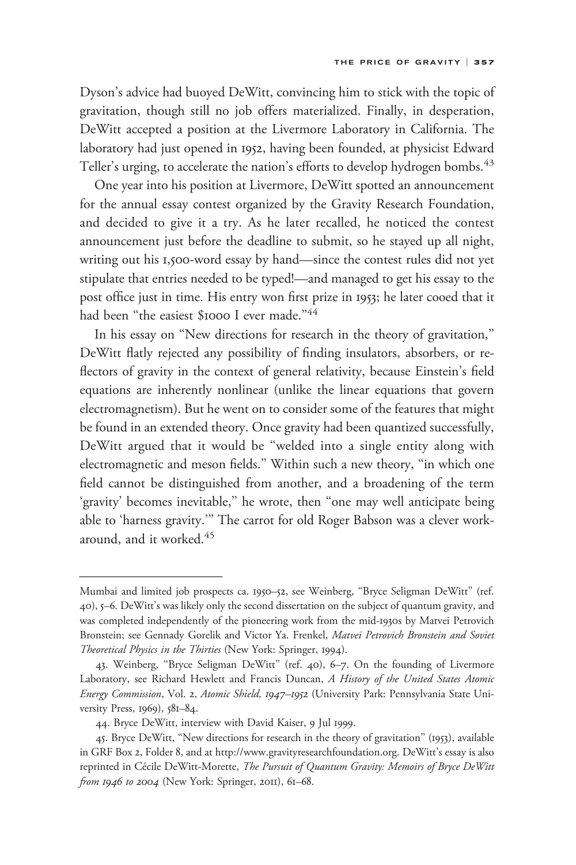Dyson's advice had buoyed DeWitt, convincing him to stick with the topic of gravitation, though still no job offers materialized. Finally, in desperation, DeWitt accepted a position at the Livermore Laboratory in California. The laboratory had just opened in 1952, having been founded, at physicist Edward Teller's urging, to accelerate the nation's efforts to develop hydrogen bombs.<sup>43</sup>

One year into his position at Livermore, DeWitt spotted an announcement for the annual essay contest organized by the Gravity Research Foundation, and decided to give it a try. As he later recalled, he noticed the contest announcement just before the deadline to submit, so he stayed up all night, writing out his 1,500-word essay by hand—since the contest rules did not yet stipulate that entries needed to be typed!—and managed to get his essay to the post office just in time. His entry won first prize in 1953; he later cooed that it had been "the easiest \$1000 I ever made."44

In his essay on ''New directions for research in the theory of gravitation,'' DeWitt flatly rejected any possibility of finding insulators, absorbers, or reflectors of gravity in the context of general relativity, because Einstein's field equations are inherently nonlinear (unlike the linear equations that govern electromagnetism). But he went on to consider some of the features that might be found in an extended theory. Once gravity had been quantized successfully, DeWitt argued that it would be ''welded into a single entity along with electromagnetic and meson fields.'' Within such a new theory, ''in which one field cannot be distinguished from another, and a broadening of the term 'gravity' becomes inevitable," he wrote, then "one may well anticipate being able to 'harness gravity.''' The carrot for old Roger Babson was a clever workaround, and it worked. 45 DeWitt accepted a position at<br>laboratory had just opened in 15<br>Teller's urging, to accelerate the<br>One year into his position at<br>for the annual essay contest org<br>and decided to give it a try.<br>announcement just before the wr

Mumbai and limited job prospects ca. 1950–52, see Weinberg, ''Bryce Seligman DeWitt'' (ref. 40), 5–6. DeWitt's was likely only the second dissertation on the subject of quantum gravity, and was completed independently of the pioneering work from the mid-1930s by Matvei Petrovich Bronstein; see Gennady Gorelik and Victor Ya. Frenkel, Matvei Petrovich Bronstein and Soviet Theoretical Physics in the Thirties (New York: Springer, 1994).

<sup>43.</sup> Weinberg, ''Bryce Seligman DeWitt'' (ref. 40), 6–7. On the founding of Livermore Laboratory, see Richard Hewlett and Francis Duncan, A History of the United States Atomic Energy Commission, Vol. 2, Atomic Shield, 1947–1952 (University Park: Pennsylvania State University Press, 1969), 581–84.

<sup>44.</sup> Bryce DeWitt, interview with David Kaiser, 9 Jul 1999.

<sup>45.</sup> Bryce DeWitt, ''New directions for research in the theory of gravitation'' (1953), available in GRF Box 2, Folder 8, and at [http://www.gravityresearchfoundation.org.](http://www.gravityresearchfoundation.org) DeWitt's essay is also reprinted in Cécile DeWitt-Morette, The Pursuit of Quantum Gravity: Memoirs of Bryce DeWitt from 1946 to 2004 (New York: Springer, 2011), 61-68.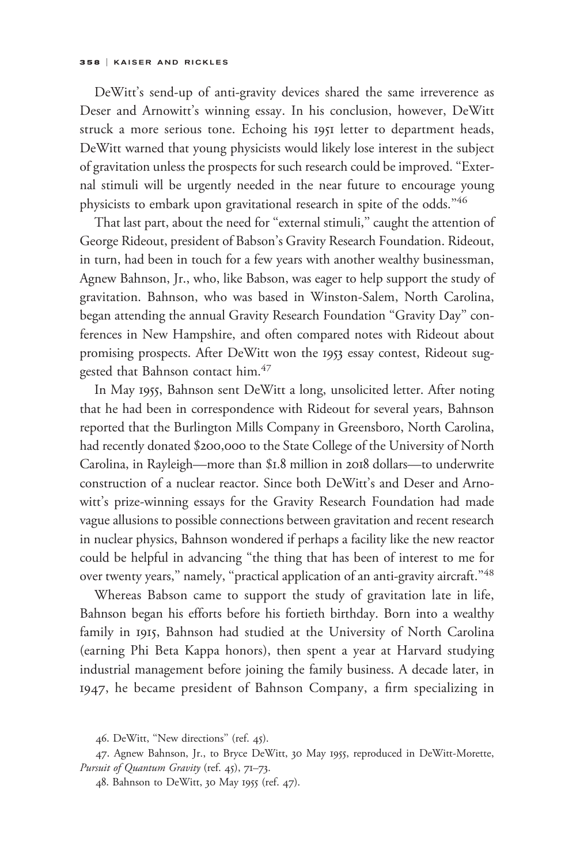DeWitt's send-up of anti-gravity devices shared the same irreverence as Deser and Arnowitt's winning essay. In his conclusion, however, DeWitt struck a more serious tone. Echoing his 1951 letter to department heads, DeWitt warned that young physicists would likely lose interest in the subject of gravitation unless the prospects for such research could be improved. ''External stimuli will be urgently needed in the near future to encourage young physicists to embark upon gravitational research in spite of the odds.''46

That last part, about the need for "external stimuli," caught the attention of George Rideout, president of Babson's Gravity Research Foundation. Rideout, in turn, had been in touch for a few years with another wealthy businessman, Agnew Bahnson, Jr., who, like Babson, was eager to help support the study of gravitation. Bahnson, who was based in Winston-Salem, North Carolina, began attending the annual Gravity Research Foundation ''Gravity Day'' conferences in New Hampshire, and often compared notes with Rideout about promising prospects. After DeWitt won the 1953 essay contest, Rideout suggested that Bahnson contact him.47

In May 1955, Bahnson sent DeWitt a long, unsolicited letter. After noting that he had been in correspondence with Rideout for several years, Bahnson reported that the Burlington Mills Company in Greensboro, North Carolina, had recently donated \$200,000 to the State College of the University of North Carolina, in Rayleigh—more than \$1.8 million in 2018 dollars—to underwrite construction of a nuclear reactor. Since both DeWitt's and Deser and Arnowitt's prize-winning essays for the Gravity Research Foundation had made vague allusions to possible connections between gravitation and recent research in nuclear physics, Bahnson wondered if perhaps a facility like the new reactor could be helpful in advancing ''the thing that has been of interest to me for over twenty years," namely, "practical application of an anti-gravity aircraft."<sup>48</sup>

Whereas Babson came to support the study of gravitation late in life, Bahnson began his efforts before his fortieth birthday. Born into a wealthy family in 1915, Bahnson had studied at the University of North Carolina (earning Phi Beta Kappa honors), then spent a year at Harvard studying industrial management before joining the family business. A decade later, in 1947, he became president of Bahnson Company, a firm specializing in

<sup>46.</sup> DeWitt, ''New directions'' (ref. 45).

<sup>47.</sup> Agnew Bahnson, Jr., to Bryce DeWitt, 30 May 1955, reproduced in DeWitt-Morette, Pursuit of Quantum Gravity (ref. 45), 71-73.

<sup>48.</sup> Bahnson to DeWitt, 30 May 1955 (ref. 47).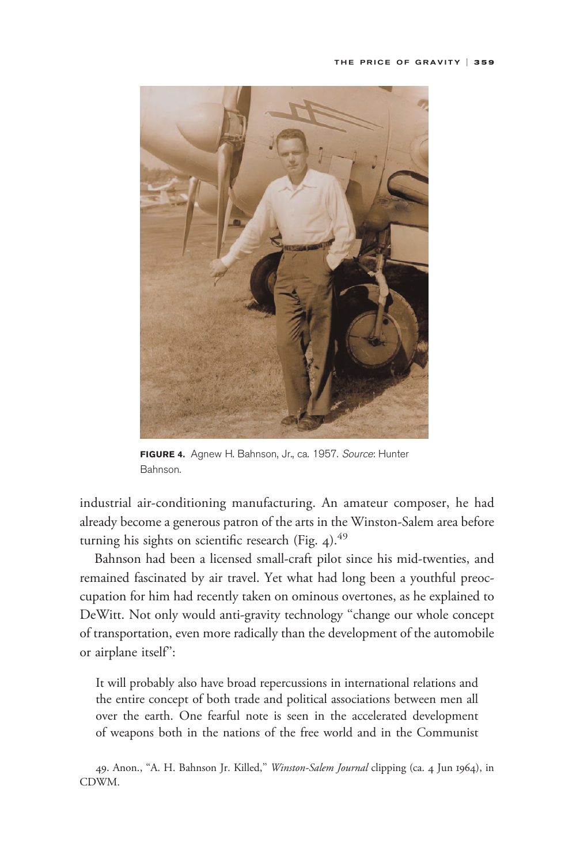

FIGURE 4. Agnew H. Bahnson, Jr., ca. 1957. Source: Hunter Bahnson.

industrial air-conditioning manufacturing. An amateur composer, he had already become a generous patron of the arts in the Winston-Salem area before turning his sights on scientific research (Fig.  $4$ ).<sup>49</sup>

Bahnson had been a licensed small-craft pilot since his mid-twenties, and remained fascinated by air travel. Yet what had long been a youthful preoccupation for him had recently taken on ominous overtones, as he explained to DeWitt. Not only would anti-gravity technology ''change our whole concept of transportation, even more radically than the development of the automobile or airplane itself'':

It will probably also have broad repercussions in international relations and the entire concept of both trade and political associations between men all over the earth. One fearful note is seen in the accelerated development of weapons both in the nations of the free world and in the Communist

49. Anon., "A. H. Bahnson Jr. Killed," Winston-Salem Journal clipping (ca. 4 Jun 1964), in CDWM.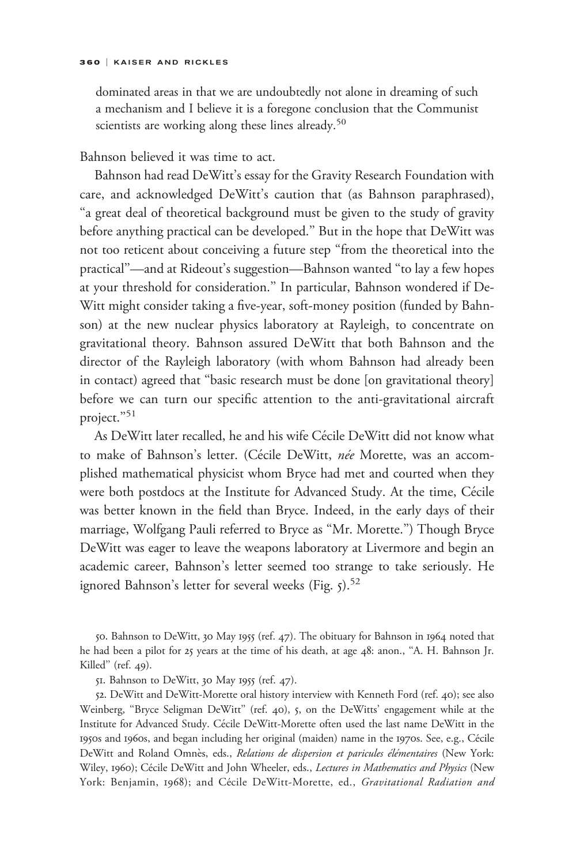dominated areas in that we are undoubtedly not alone in dreaming of such a mechanism and I believe it is a foregone conclusion that the Communist scientists are working along these lines already.<sup>50</sup>

Bahnson believed it was time to act.

Bahnson had read DeWitt's essay for the Gravity Research Foundation with care, and acknowledged DeWitt's caution that (as Bahnson paraphrased), ''a great deal of theoretical background must be given to the study of gravity before anything practical can be developed.'' But in the hope that DeWitt was not too reticent about conceiving a future step ''from the theoretical into the practical''—and at Rideout's suggestion—Bahnson wanted ''to lay a few hopes at your threshold for consideration.'' In particular, Bahnson wondered if De-Witt might consider taking a five-year, soft-money position (funded by Bahnson) at the new nuclear physics laboratory at Rayleigh, to concentrate on gravitational theory. Bahnson assured DeWitt that both Bahnson and the director of the Rayleigh laboratory (with whom Bahnson had already been in contact) agreed that ''basic research must be done [on gravitational theory] before we can turn our specific attention to the anti-gravitational aircraft project.''<sup>51</sup>

As DeWitt later recalled, he and his wife Cécile DeWitt did not know what to make of Bahnson's letter. (Cécile DeWitt, née Morette, was an accomplished mathematical physicist whom Bryce had met and courted when they were both postdocs at the Institute for Advanced Study. At the time, Cécile was better known in the field than Bryce. Indeed, in the early days of their marriage, Wolfgang Pauli referred to Bryce as ''Mr. Morette.'') Though Bryce DeWitt was eager to leave the weapons laboratory at Livermore and begin an academic career, Bahnson's letter seemed too strange to take seriously. He ignored Bahnson's letter for several weeks (Fig. 5).<sup>52</sup>

50. Bahnson to DeWitt, 30 May 1955 (ref. 47). The obituary for Bahnson in 1964 noted that he had been a pilot for 25 years at the time of his death, at age 48: anon., "A. H. Bahnson Jr. Killed'' (ref. 49).

51. Bahnson to DeWitt, 30 May 1955 (ref. 47).

52. DeWitt and DeWitt-Morette oral history interview with Kenneth Ford (ref. 40); see also Weinberg, "Bryce Seligman DeWitt" (ref. 40), 5, on the DeWitts' engagement while at the Institute for Advanced Study. Cécile DeWitt-Morette often used the last name DeWitt in the 1950s and 1960s, and began including her original (maiden) name in the 1970s. See, e.g., Cécile DeWitt and Roland Omnès, eds., Relations de dispersion et paricules élémentaires (New York: Wiley, 1960); Cécile DeWitt and John Wheeler, eds., Lectures in Mathematics and Physics (New York: Benjamin, 1968); and Cécile DeWitt-Morette, ed., Gravitational Radiation and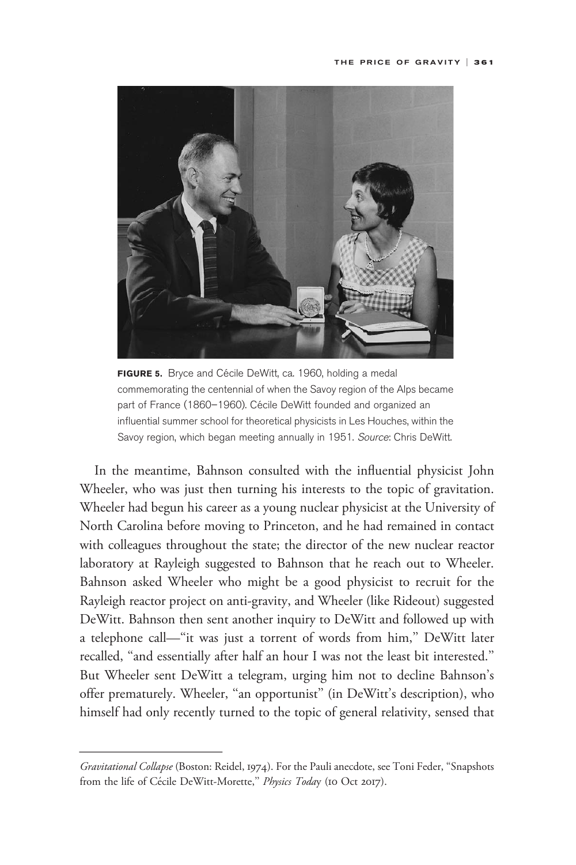

FIGURE 5. Bryce and Cécile DeWitt, ca. 1960, holding a medal commemorating the centennial of when the Savoy region of the Alps became part of France (1860–1960). Cécile DeWitt founded and organized an influential summer school for theoretical physicists in Les Houches, within the Savoy region, which began meeting annually in 1951. Source: Chris DeWitt.

In the meantime, Bahnson consulted with the influential physicist John Wheeler, who was just then turning his interests to the topic of gravitation. Wheeler had begun his career as a young nuclear physicist at the University of North Carolina before moving to Princeton, and he had remained in contact with colleagues throughout the state; the director of the new nuclear reactor laboratory at Rayleigh suggested to Bahnson that he reach out to Wheeler. Bahnson asked Wheeler who might be a good physicist to recruit for the Rayleigh reactor project on anti-gravity, and Wheeler (like Rideout) suggested DeWitt. Bahnson then sent another inquiry to DeWitt and followed up with a telephone call—''it was just a torrent of words from him,'' DeWitt later recalled, ''and essentially after half an hour I was not the least bit interested.'' But Wheeler sent DeWitt a telegram, urging him not to decline Bahnson's offer prematurely. Wheeler, "an opportunist" (in DeWitt's description), who himself had only recently turned to the topic of general relativity, sensed that FIGURE 5. Bryce and Cécile I<br>commemorating the centennia<br>part of France (1860–1960).<br>influential summer school for t<br>Savoy region, which began me<br>In the meantime, Bahnson<br>Wheeler, who was just then tu<br>Wheeler had begun his

Gravitational Collapse (Boston: Reidel, 1974). For the Pauli anecdote, see Toni Feder, ''Snapshots from the life of Cécile DeWitt-Morette," Physics Today (10 Oct 2017).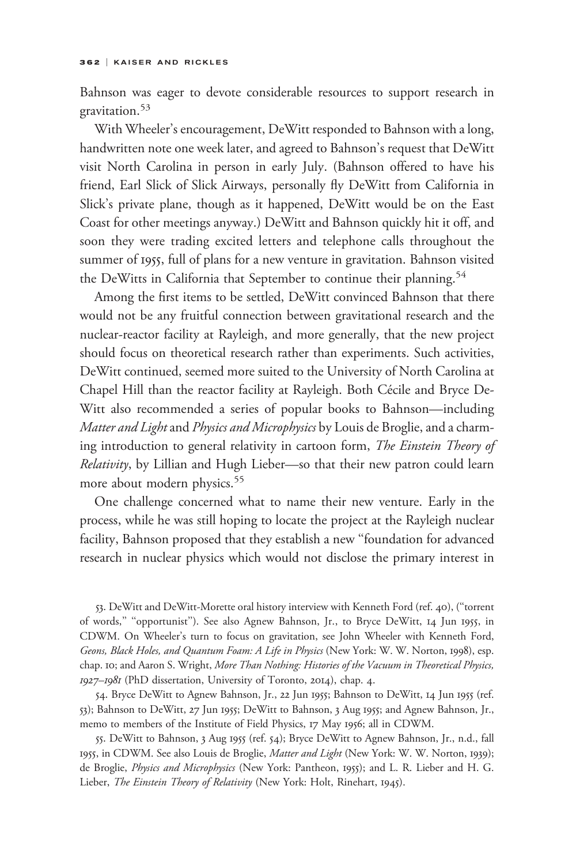Bahnson was eager to devote considerable resources to support research in gravitation.<sup>53</sup>

With Wheeler's encouragement, DeWitt responded to Bahnson with a long, handwritten note one week later, and agreed to Bahnson's request that DeWitt visit North Carolina in person in early July. (Bahnson offered to have his friend, Earl Slick of Slick Airways, personally fly DeWitt from California in Slick's private plane, though as it happened, DeWitt would be on the East Coast for other meetings anyway.) DeWitt and Bahnson quickly hit it off, and soon they were trading excited letters and telephone calls throughout the summer of 1955, full of plans for a new venture in gravitation. Bahnson visited the DeWitts in California that September to continue their planning.<sup>54</sup>

Among the first items to be settled, DeWitt convinced Bahnson that there would not be any fruitful connection between gravitational research and the nuclear-reactor facility at Rayleigh, and more generally, that the new project should focus on theoretical research rather than experiments. Such activities, DeWitt continued, seemed more suited to the University of North Carolina at Chapel Hill than the reactor facility at Rayleigh. Both Cécile and Bryce De-Witt also recommended a series of popular books to Bahnson—including Matter and Light and Physics and Microphysics by Louis de Broglie, and a charming introduction to general relativity in cartoon form, The Einstein Theory of Relativity, by Lillian and Hugh Lieber—so that their new patron could learn more about modern physics.<sup>55</sup>

One challenge concerned what to name their new venture. Early in the process, while he was still hoping to locate the project at the Rayleigh nuclear facility, Bahnson proposed that they establish a new ''foundation for advanced research in nuclear physics which would not disclose the primary interest in

53. DeWitt and DeWitt-Morette oral history interview with Kenneth Ford (ref. 40), (''torrent of words,'' ''opportunist''). See also Agnew Bahnson, Jr., to Bryce DeWitt, 14 Jun 1955, in CDWM. On Wheeler's turn to focus on gravitation, see John Wheeler with Kenneth Ford, Geons, Black Holes, and Quantum Foam: A Life in Physics (New York: W. W. Norton, 1998), esp. chap. 10; and Aaron S. Wright, More Than Nothing: Histories of the Vacuum in Theoretical Physics, 1927–1981 (PhD dissertation, University of Toronto, 2014), chap. 4.

54. Bryce DeWitt to Agnew Bahnson, Jr., 22 Jun 1955; Bahnson to DeWitt, 14 Jun 1955 (ref. 53); Bahnson to DeWitt, 27 Jun 1955; DeWitt to Bahnson, 3 Aug 1955; and Agnew Bahnson, Jr., memo to members of the Institute of Field Physics, 17 May 1956; all in CDWM.

55. DeWitt to Bahnson, 3 Aug 1955 (ref. 54); Bryce DeWitt to Agnew Bahnson, Jr., n.d., fall 1955, in CDWM. See also Louis de Broglie, Matter and Light (New York: W. W. Norton, 1939); de Broglie, Physics and Microphysics (New York: Pantheon, 1955); and L. R. Lieber and H. G. Lieber, The Einstein Theory of Relativity (New York: Holt, Rinehart, 1945).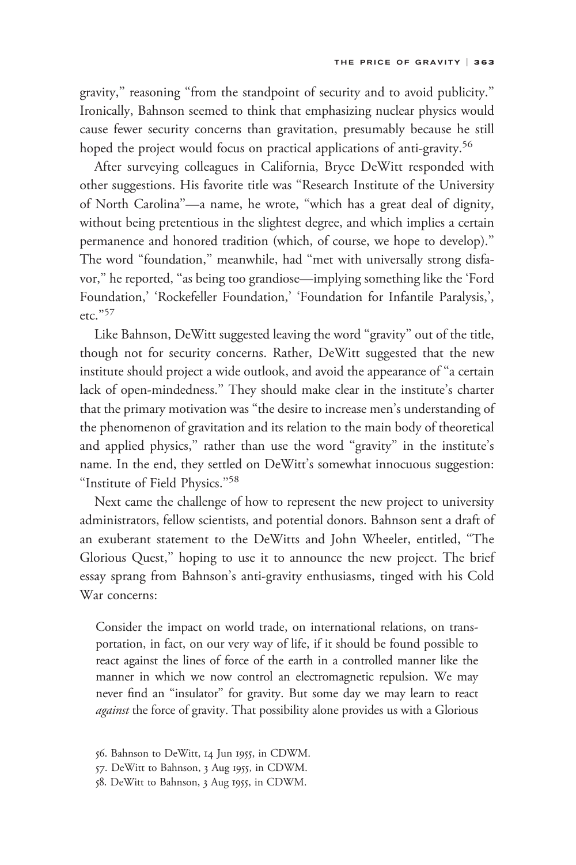gravity,'' reasoning ''from the standpoint of security and to avoid publicity.'' Ironically, Bahnson seemed to think that emphasizing nuclear physics would cause fewer security concerns than gravitation, presumably because he still hoped the project would focus on practical applications of anti-gravity.<sup>56</sup>

After surveying colleagues in California, Bryce DeWitt responded with other suggestions. His favorite title was ''Research Institute of the University of North Carolina''—a name, he wrote, ''which has a great deal of dignity, without being pretentious in the slightest degree, and which implies a certain permanence and honored tradition (which, of course, we hope to develop).'' The word ''foundation,'' meanwhile, had ''met with universally strong disfavor,'' he reported, ''as being too grandiose—implying something like the 'Ford Foundation,' 'Rockefeller Foundation,' 'Foundation for Infantile Paralysis,', etc.''57

Like Bahnson, DeWitt suggested leaving the word ''gravity'' out of the title, though not for security concerns. Rather, DeWitt suggested that the new institute should project a wide outlook, and avoid the appearance of ''a certain lack of open-mindedness.'' They should make clear in the institute's charter that the primary motivation was ''the desire to increase men's understanding of the phenomenon of gravitation and its relation to the main body of theoretical and applied physics," rather than use the word "gravity" in the institute's name. In the end, they settled on DeWitt's somewhat innocuous suggestion: "Institute of Field Physics."<sup>58</sup>

Next came the challenge of how to represent the new project to university administrators, fellow scientists, and potential donors. Bahnson sent a draft of an exuberant statement to the DeWitts and John Wheeler, entitled, ''The Glorious Quest,'' hoping to use it to announce the new project. The brief essay sprang from Bahnson's anti-gravity enthusiasms, tinged with his Cold War concerns:

Consider the impact on world trade, on international relations, on transportation, in fact, on our very way of life, if it should be found possible to react against the lines of force of the earth in a controlled manner like the manner in which we now control an electromagnetic repulsion. We may never find an ''insulator'' for gravity. But some day we may learn to react *against* the force of gravity. That possibility alone provides us with a Glorious

<sup>56.</sup> Bahnson to DeWitt, 14 Jun 1955, in CDWM.

<sup>57.</sup> DeWitt to Bahnson, 3 Aug 1955, in CDWM.

<sup>58.</sup> DeWitt to Bahnson, 3 Aug 1955, in CDWM.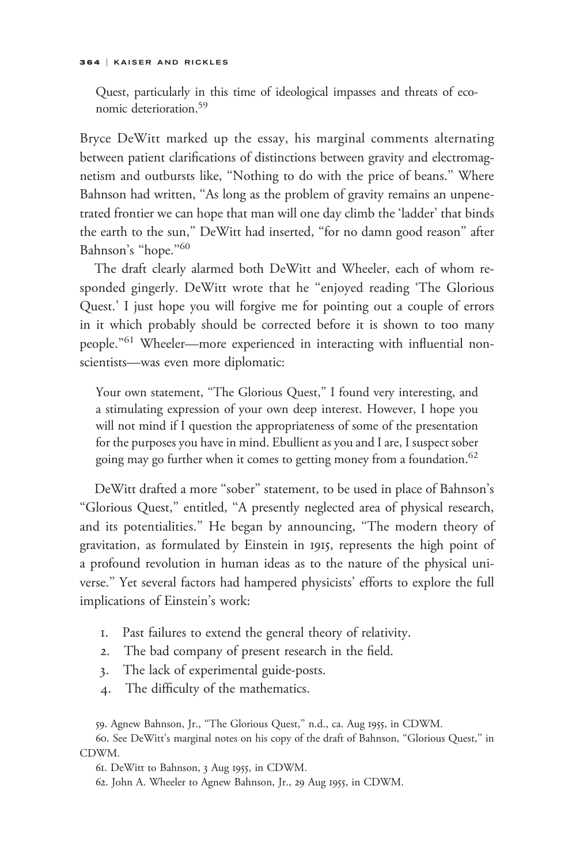Quest, particularly in this time of ideological impasses and threats of economic deterioration.59

Bryce DeWitt marked up the essay, his marginal comments alternating between patient clarifications of distinctions between gravity and electromagnetism and outbursts like, ''Nothing to do with the price of beans.'' Where Bahnson had written, ''As long as the problem of gravity remains an unpenetrated frontier we can hope that man will one day climb the 'ladder' that binds the earth to the sun,'' DeWitt had inserted, ''for no damn good reason'' after Bahnson's "hope."<sup>60</sup>

The draft clearly alarmed both DeWitt and Wheeler, each of whom responded gingerly. DeWitt wrote that he ''enjoyed reading 'The Glorious Quest.' I just hope you will forgive me for pointing out a couple of errors in it which probably should be corrected before it is shown to too many people."<sup>61</sup> Wheeler—more experienced in interacting with influential nonscientists—was even more diplomatic:

Your own statement, "The Glorious Quest," I found very interesting, and a stimulating expression of your own deep interest. However, I hope you will not mind if I question the appropriateness of some of the presentation for the purposes you have in mind. Ebullient as you and I are, I suspect sober going may go further when it comes to getting money from a foundation.<sup>62</sup>

DeWitt drafted a more ''sober'' statement, to be used in place of Bahnson's ''Glorious Quest,'' entitled, ''A presently neglected area of physical research, and its potentialities.'' He began by announcing, ''The modern theory of gravitation, as formulated by Einstein in 1915, represents the high point of a profound revolution in human ideas as to the nature of the physical universe.'' Yet several factors had hampered physicists' efforts to explore the full implications of Einstein's work:

- 1. Past failures to extend the general theory of relativity.
- 2. The bad company of present research in the field.
- 3. The lack of experimental guide-posts.
- 4. The difficulty of the mathematics.

59. Agnew Bahnson, Jr., ''The Glorious Quest,'' n.d., ca. Aug 1955, in CDWM.

60. See DeWitt's marginal notes on his copy of the draft of Bahnson, ''Glorious Quest,'' in CDWM.

61. DeWitt to Bahnson, 3 Aug 1955, in CDWM.

62. John A. Wheeler to Agnew Bahnson, Jr., 29 Aug 1955, in CDWM.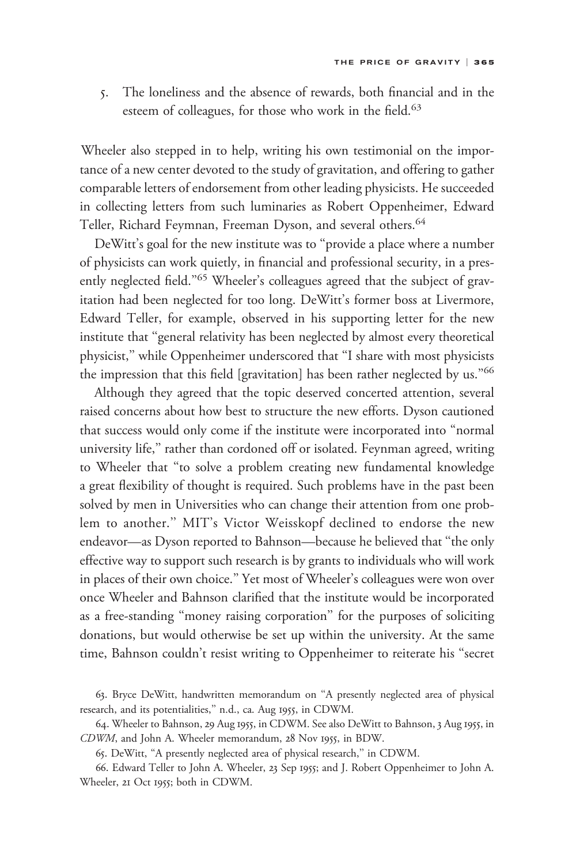5. The loneliness and the absence of rewards, both financial and in the esteem of colleagues, for those who work in the field.<sup>63</sup>

Wheeler also stepped in to help, writing his own testimonial on the importance of a new center devoted to the study of gravitation, and offering to gather comparable letters of endorsement from other leading physicists. He succeeded in collecting letters from such luminaries as Robert Oppenheimer, Edward Teller, Richard Feymnan, Freeman Dyson, and several others.<sup>64</sup>

DeWitt's goal for the new institute was to ''provide a place where a number of physicists can work quietly, in financial and professional security, in a presently neglected field."<sup>65</sup> Wheeler's colleagues agreed that the subject of gravitation had been neglected for too long. DeWitt's former boss at Livermore, Edward Teller, for example, observed in his supporting letter for the new institute that ''general relativity has been neglected by almost every theoretical physicist,'' while Oppenheimer underscored that ''I share with most physicists the impression that this field [gravitation] has been rather neglected by us."<sup>66</sup>

Although they agreed that the topic deserved concerted attention, several raised concerns about how best to structure the new efforts. Dyson cautioned that success would only come if the institute were incorporated into ''normal university life,'' rather than cordoned off or isolated. Feynman agreed, writing to Wheeler that ''to solve a problem creating new fundamental knowledge a great flexibility of thought is required. Such problems have in the past been solved by men in Universities who can change their attention from one problem to another.'' MIT's Victor Weisskopf declined to endorse the new endeavor—as Dyson reported to Bahnson—because he believed that ''the only effective way to support such research is by grants to individuals who will work in places of their own choice.'' Yet most of Wheeler's colleagues were won over once Wheeler and Bahnson clarified that the institute would be incorporated as a free-standing ''money raising corporation'' for the purposes of soliciting donations, but would otherwise be set up within the university. At the same time, Bahnson couldn't resist writing to Oppenheimer to reiterate his ''secret

<sup>63.</sup> Bryce DeWitt, handwritten memorandum on ''A presently neglected area of physical research, and its potentialities,'' n.d., ca. Aug 1955, in CDWM.

<sup>64.</sup> Wheeler to Bahnson, 29 Aug 1955, in CDWM. See also DeWitt to Bahnson, 3 Aug 1955, in CDWM, and John A. Wheeler memorandum, 28 Nov 1955, in BDW.

<sup>65.</sup> DeWitt, ''A presently neglected area of physical research,'' in CDWM.

<sup>66.</sup> Edward Teller to John A. Wheeler, 23 Sep 1955; and J. Robert Oppenheimer to John A. Wheeler, 21 Oct 1955; both in CDWM.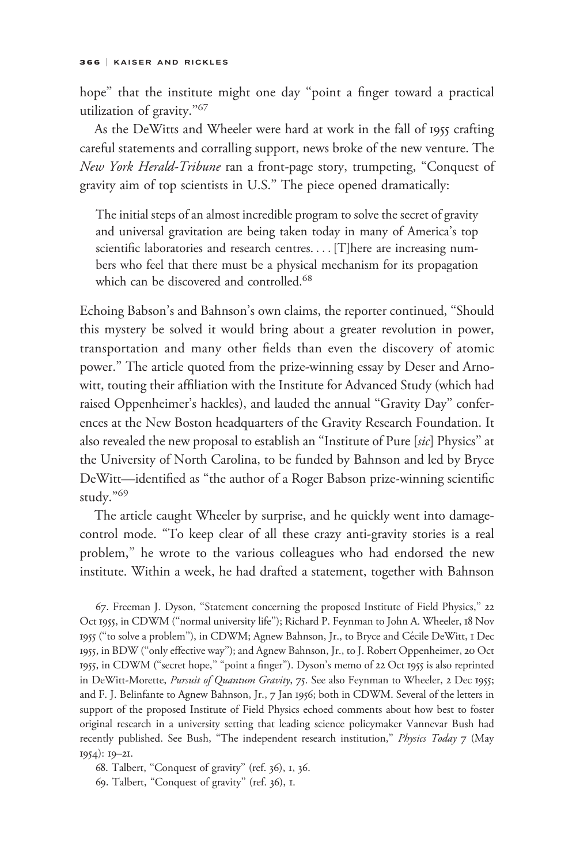hope'' that the institute might one day ''point a finger toward a practical utilization of gravity."67

As the DeWitts and Wheeler were hard at work in the fall of 1955 crafting careful statements and corralling support, news broke of the new venture. The New York Herald-Tribune ran a front-page story, trumpeting, "Conquest of gravity aim of top scientists in U.S.'' The piece opened dramatically:

The initial steps of an almost incredible program to solve the secret of gravity and universal gravitation are being taken today in many of America's top scientific laboratories and research centres. ... [T]here are increasing numbers who feel that there must be a physical mechanism for its propagation which can be discovered and controlled.<sup>68</sup>

Echoing Babson's and Bahnson's own claims, the reporter continued, ''Should this mystery be solved it would bring about a greater revolution in power, transportation and many other fields than even the discovery of atomic power.'' The article quoted from the prize-winning essay by Deser and Arnowitt, touting their affiliation with the Institute for Advanced Study (which had raised Oppenheimer's hackles), and lauded the annual ''Gravity Day'' conferences at the New Boston headquarters of the Gravity Research Foundation. It also revealed the new proposal to establish an ''Institute of Pure [sic] Physics'' at the University of North Carolina, to be funded by Bahnson and led by Bryce DeWitt—identified as ''the author of a Roger Babson prize-winning scientific study."<sup>69</sup>

The article caught Wheeler by surprise, and he quickly went into damagecontrol mode. ''To keep clear of all these crazy anti-gravity stories is a real problem,'' he wrote to the various colleagues who had endorsed the new institute. Within a week, he had drafted a statement, together with Bahnson

67. Freeman J. Dyson, ''Statement concerning the proposed Institute of Field Physics,'' 22 Oct 1955, in CDWM (''normal university life''); Richard P. Feynman to John A. Wheeler, 18 Nov 1955 ("to solve a problem"), in CDWM; Agnew Bahnson, Jr., to Bryce and Cécile DeWitt, 1 Dec 1955, in BDW (''only effective way''); and Agnew Bahnson, Jr., to J. Robert Oppenheimer, 20 Oct 1955, in CDWM (''secret hope,'' ''point a finger''). Dyson's memo of 22 Oct 1955 is also reprinted in DeWitt-Morette, Pursuit of Quantum Gravity, 75. See also Feynman to Wheeler, 2 Dec 1955; and F. J. Belinfante to Agnew Bahnson, Jr., 7 Jan 1956; both in CDWM. Several of the letters in support of the proposed Institute of Field Physics echoed comments about how best to foster original research in a university setting that leading science policymaker Vannevar Bush had recently published. See Bush, "The independent research institution," Physics Today 7 (May 1954): 19–21.

68. Talbert, ''Conquest of gravity'' (ref. 36), 1, 36.

69. Talbert, ''Conquest of gravity'' (ref. 36), 1.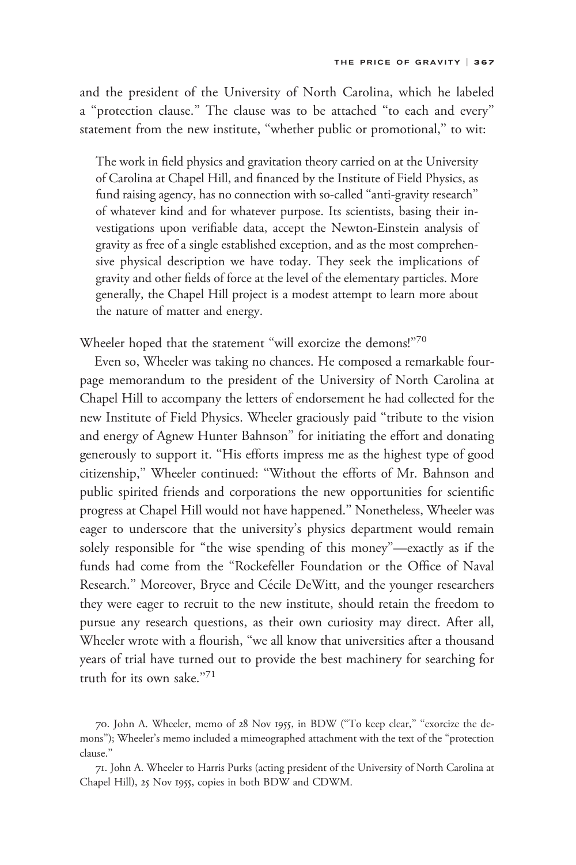and the president of the University of North Carolina, which he labeled a ''protection clause.'' The clause was to be attached ''to each and every'' statement from the new institute, ''whether public or promotional,'' to wit:

The work in field physics and gravitation theory carried on at the University of Carolina at Chapel Hill, and financed by the Institute of Field Physics, as fund raising agency, has no connection with so-called ''anti-gravity research'' of whatever kind and for whatever purpose. Its scientists, basing their investigations upon verifiable data, accept the Newton-Einstein analysis of gravity as free of a single established exception, and as the most comprehensive physical description we have today. They seek the implications of gravity and other fields of force at the level of the elementary particles. More generally, the Chapel Hill project is a modest attempt to learn more about the nature of matter and energy.

Wheeler hoped that the statement "will exorcize the demons!"70

Even so, Wheeler was taking no chances. He composed a remarkable fourpage memorandum to the president of the University of North Carolina at Chapel Hill to accompany the letters of endorsement he had collected for the new Institute of Field Physics. Wheeler graciously paid ''tribute to the vision and energy of Agnew Hunter Bahnson'' for initiating the effort and donating generously to support it. ''His efforts impress me as the highest type of good citizenship,'' Wheeler continued: ''Without the efforts of Mr. Bahnson and public spirited friends and corporations the new opportunities for scientific progress at Chapel Hill would not have happened.'' Nonetheless, Wheeler was eager to underscore that the university's physics department would remain solely responsible for ''the wise spending of this money''—exactly as if the funds had come from the ''Rockefeller Foundation or the Office of Naval Research." Moreover, Bryce and Cécile DeWitt, and the younger researchers they were eager to recruit to the new institute, should retain the freedom to pursue any research questions, as their own curiosity may direct. After all, Wheeler wrote with a flourish, ''we all know that universities after a thousand years of trial have turned out to provide the best machinery for searching for truth for its own sake."71

<sup>70.</sup> John A. Wheeler, memo of 28 Nov 1955, in BDW (''To keep clear,'' ''exorcize the demons''); Wheeler's memo included a mimeographed attachment with the text of the ''protection clause.''

<sup>71.</sup> John A. Wheeler to Harris Purks (acting president of the University of North Carolina at Chapel Hill), 25 Nov 1955, copies in both BDW and CDWM.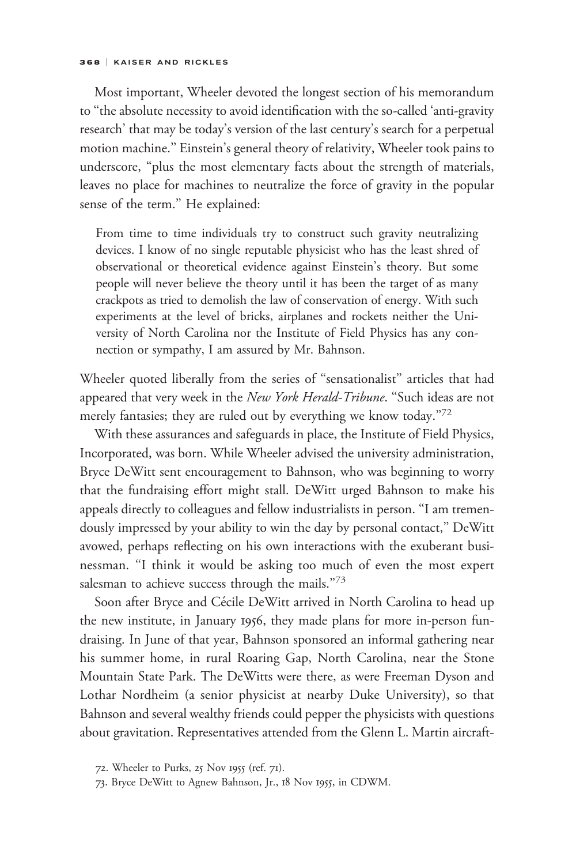Most important, Wheeler devoted the longest section of his memorandum to ''the absolute necessity to avoid identification with the so-called 'anti-gravity research' that may be today's version of the last century's search for a perpetual motion machine.'' Einstein's general theory of relativity, Wheeler took pains to underscore, ''plus the most elementary facts about the strength of materials, leaves no place for machines to neutralize the force of gravity in the popular sense of the term.'' He explained:

From time to time individuals try to construct such gravity neutralizing devices. I know of no single reputable physicist who has the least shred of observational or theoretical evidence against Einstein's theory. But some people will never believe the theory until it has been the target of as many crackpots as tried to demolish the law of conservation of energy. With such experiments at the level of bricks, airplanes and rockets neither the University of North Carolina nor the Institute of Field Physics has any connection or sympathy, I am assured by Mr. Bahnson.

Wheeler quoted liberally from the series of ''sensationalist'' articles that had appeared that very week in the New York Herald-Tribune. "Such ideas are not merely fantasies; they are ruled out by everything we know today."72

With these assurances and safeguards in place, the Institute of Field Physics, Incorporated, was born. While Wheeler advised the university administration, Bryce DeWitt sent encouragement to Bahnson, who was beginning to worry that the fundraising effort might stall. DeWitt urged Bahnson to make his appeals directly to colleagues and fellow industrialists in person. ''I am tremendously impressed by your ability to win the day by personal contact,'' DeWitt avowed, perhaps reflecting on his own interactions with the exuberant businessman. ''I think it would be asking too much of even the most expert salesman to achieve success through the mails."<sup>73</sup>

Soon after Bryce and Cécile DeWitt arrived in North Carolina to head up the new institute, in January 1956, they made plans for more in-person fundraising. In June of that year, Bahnson sponsored an informal gathering near his summer home, in rural Roaring Gap, North Carolina, near the Stone Mountain State Park. The DeWitts were there, as were Freeman Dyson and Lothar Nordheim (a senior physicist at nearby Duke University), so that Bahnson and several wealthy friends could pepper the physicists with questions about gravitation. Representatives attended from the Glenn L. Martin aircraft-

<sup>72.</sup> Wheeler to Purks, 25 Nov 1955 (ref. 71).

<sup>73.</sup> Bryce DeWitt to Agnew Bahnson, Jr., 18 Nov 1955, in CDWM.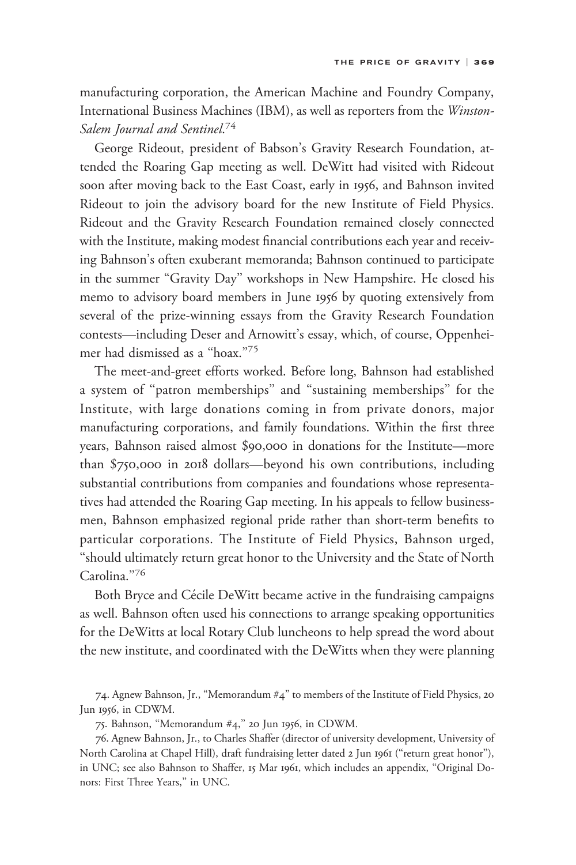manufacturing corporation, the American Machine and Foundry Company, International Business Machines (IBM), as well as reporters from the Winston-Salem Journal and Sentinel. 74

George Rideout, president of Babson's Gravity Research Foundation, attended the Roaring Gap meeting as well. DeWitt had visited with Rideout soon after moving back to the East Coast, early in 1956, and Bahnson invited Rideout to join the advisory board for the new Institute of Field Physics. Rideout and the Gravity Research Foundation remained closely connected with the Institute, making modest financial contributions each year and receiving Bahnson's often exuberant memoranda; Bahnson continued to participate in the summer "Gravity Day" workshops in New Hampshire. He closed his memo to advisory board members in June 1956 by quoting extensively from several of the prize-winning essays from the Gravity Research Foundation contests—including Deser and Arnowitt's essay, which, of course, Oppenheimer had dismissed as a ''hoax.''75

The meet-and-greet efforts worked. Before long, Bahnson had established a system of ''patron memberships'' and ''sustaining memberships'' for the Institute, with large donations coming in from private donors, major manufacturing corporations, and family foundations. Within the first three years, Bahnson raised almost \$90,000 in donations for the Institute—more than \$750,000 in 2018 dollars—beyond his own contributions, including substantial contributions from companies and foundations whose representatives had attended the Roaring Gap meeting. In his appeals to fellow businessmen, Bahnson emphasized regional pride rather than short-term benefits to particular corporations. The Institute of Field Physics, Bahnson urged, ''should ultimately return great honor to the University and the State of North Carolina.''<sup>76</sup>

Both Bryce and Cécile DeWitt became active in the fundraising campaigns as well. Bahnson often used his connections to arrange speaking opportunities for the DeWitts at local Rotary Club luncheons to help spread the word about the new institute, and coordinated with the DeWitts when they were planning

74. Agnew Bahnson, Jr., ''Memorandum #4'' to members of the Institute of Field Physics, 20 Jun 1956, in CDWM.

75. Bahnson, ''Memorandum #4,'' 20 Jun 1956, in CDWM.

76. Agnew Bahnson, Jr., to Charles Shaffer (director of university development, University of North Carolina at Chapel Hill), draft fundraising letter dated 2 Jun 1961 (''return great honor''), in UNC; see also Bahnson to Shaffer, 15 Mar 1961, which includes an appendix, ''Original Donors: First Three Years,'' in UNC.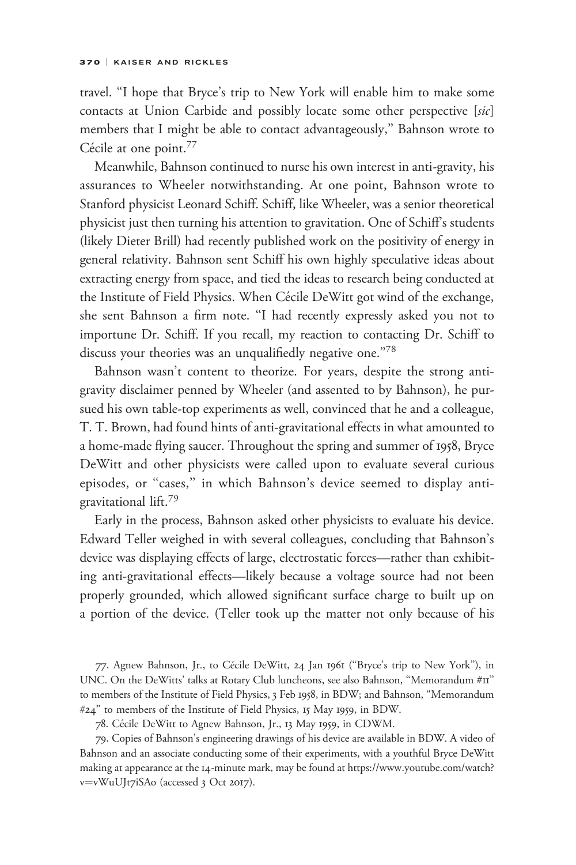travel. ''I hope that Bryce's trip to New York will enable him to make some contacts at Union Carbide and possibly locate some other perspective [sic] members that I might be able to contact advantageously,'' Bahnson wrote to Cécile at one point.<sup>77</sup>

Meanwhile, Bahnson continued to nurse his own interest in anti-gravity, his assurances to Wheeler notwithstanding. At one point, Bahnson wrote to Stanford physicist Leonard Schiff. Schiff, like Wheeler, was a senior theoretical physicist just then turning his attention to gravitation. One of Schiff's students (likely Dieter Brill) had recently published work on the positivity of energy in general relativity. Bahnson sent Schiff his own highly speculative ideas about extracting energy from space, and tied the ideas to research being conducted at the Institute of Field Physics. When Cécile DeWitt got wind of the exchange, she sent Bahnson a firm note. ''I had recently expressly asked you not to importune Dr. Schiff. If you recall, my reaction to contacting Dr. Schiff to discuss your theories was an unqualifiedly negative one."78

Bahnson wasn't content to theorize. For years, despite the strong antigravity disclaimer penned by Wheeler (and assented to by Bahnson), he pursued his own table-top experiments as well, convinced that he and a colleague, T. T. Brown, had found hints of anti-gravitational effects in what amounted to a home-made flying saucer. Throughout the spring and summer of 1958, Bryce DeWitt and other physicists were called upon to evaluate several curious episodes, or ''cases,'' in which Bahnson's device seemed to display antigravitational lift.<sup>79</sup>

Early in the process, Bahnson asked other physicists to evaluate his device. Edward Teller weighed in with several colleagues, concluding that Bahnson's device was displaying effects of large, electrostatic forces—rather than exhibiting anti-gravitational effects—likely because a voltage source had not been properly grounded, which allowed significant surface charge to built up on a portion of the device. (Teller took up the matter not only because of his

77. Agnew Bahnson, Jr., to Cécile DeWitt, 24 Jan 1961 ("Bryce's trip to New York"), in UNC. On the DeWitts' talks at Rotary Club luncheons, see also Bahnson, ''Memorandum #11'' to members of the Institute of Field Physics, 3 Feb 1958, in BDW; and Bahnson, ''Memorandum #24'' to members of the Institute of Field Physics, 15 May 1959, in BDW.

78. Cécile DeWitt to Agnew Bahnson, Jr., 13 May 1959, in CDWM.

79. Copies of Bahnson's engineering drawings of his device are available in BDW. A video of Bahnson and an associate conducting some of their experiments, with a youthful Bryce DeWitt making at appearance at the 14-minute mark, may be found at [https://www.youtube.com/watch?](https://www.youtube.com/watch?v=vWuUJt7iSAo) [v](https://www.youtube.com/watch?v=vWuUJt7iSAo)=[vWuUJt](https://www.youtube.com/watch?v=vWuUJt7iSAo)7iSAo (accessed 3 Oct 2017).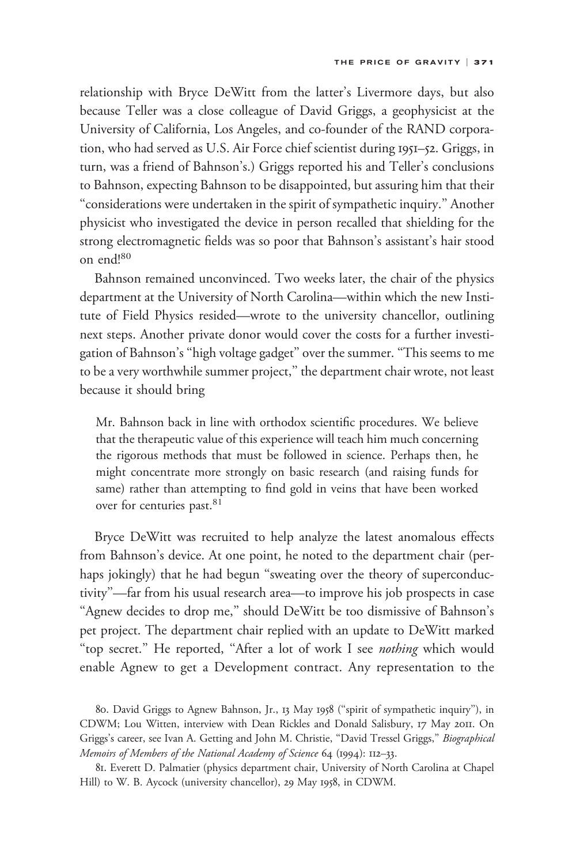relationship with Bryce DeWitt from the latter's Livermore days, but also because Teller was a close colleague of David Griggs, a geophysicist at the University of California, Los Angeles, and co-founder of the RAND corporation, who had served as U.S. Air Force chief scientist during 1951–52. Griggs, in turn, was a friend of Bahnson's.) Griggs reported his and Teller's conclusions to Bahnson, expecting Bahnson to be disappointed, but assuring him that their ''considerations were undertaken in the spirit of sympathetic inquiry.'' Another physicist who investigated the device in person recalled that shielding for the strong electromagnetic fields was so poor that Bahnson's assistant's hair stood on end!<sup>80</sup>

Bahnson remained unconvinced. Two weeks later, the chair of the physics department at the University of North Carolina—within which the new Institute of Field Physics resided—wrote to the university chancellor, outlining next steps. Another private donor would cover the costs for a further investigation of Bahnson's ''high voltage gadget'' over the summer. ''This seems to me to be a very worthwhile summer project,'' the department chair wrote, not least because it should bring

Mr. Bahnson back in line with orthodox scientific procedures. We believe that the therapeutic value of this experience will teach him much concerning the rigorous methods that must be followed in science. Perhaps then, he might concentrate more strongly on basic research (and raising funds for same) rather than attempting to find gold in veins that have been worked over for centuries past.<sup>81</sup>

Bryce DeWitt was recruited to help analyze the latest anomalous effects from Bahnson's device. At one point, he noted to the department chair (perhaps jokingly) that he had begun "sweating over the theory of superconductivity''—far from his usual research area—to improve his job prospects in case "Agnew decides to drop me," should DeWitt be too dismissive of Bahnson's pet project. The department chair replied with an update to DeWitt marked "top secret." He reported, "After a lot of work I see nothing which would enable Agnew to get a Development contract. Any representation to the

80. David Griggs to Agnew Bahnson, Jr., 13 May 1958 (''spirit of sympathetic inquiry''), in CDWM; Lou Witten, interview with Dean Rickles and Donald Salisbury, 17 May 2011. On Griggs's career, see Ivan A. Getting and John M. Christie, "David Tressel Griggs," Biographical Memoirs of Members of the National Academy of Science 64 (1994): 112–33.

81. Everett D. Palmatier (physics department chair, University of North Carolina at Chapel Hill) to W. B. Aycock (university chancellor), 29 May 1958, in CDWM.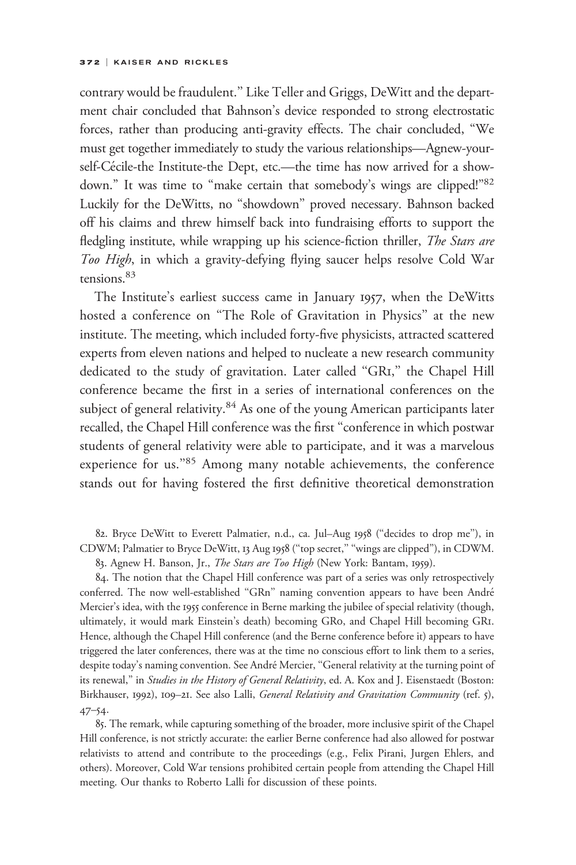contrary would be fraudulent.'' Like Teller and Griggs, DeWitt and the department chair concluded that Bahnson's device responded to strong electrostatic forces, rather than producing anti-gravity effects. The chair concluded, ''We must get together immediately to study the various relationships—Agnew-yourself-Cécile-the Institute-the Dept, etc.—the time has now arrived for a showdown." It was time to "make certain that somebody's wings are clipped!"82 Luckily for the DeWitts, no ''showdown'' proved necessary. Bahnson backed off his claims and threw himself back into fundraising efforts to support the fledgling institute, while wrapping up his science-fiction thriller, The Stars are Too High, in which a gravity-defying flying saucer helps resolve Cold War tensions.83

The Institute's earliest success came in January 1957, when the DeWitts hosted a conference on ''The Role of Gravitation in Physics'' at the new institute. The meeting, which included forty-five physicists, attracted scattered experts from eleven nations and helped to nucleate a new research community dedicated to the study of gravitation. Later called ''GR1,'' the Chapel Hill conference became the first in a series of international conferences on the subject of general relativity. $84$  As one of the young American participants later recalled, the Chapel Hill conference was the first ''conference in which postwar students of general relativity were able to participate, and it was a marvelous experience for us."85 Among many notable achievements, the conference stands out for having fostered the first definitive theoretical demonstration

82. Bryce DeWitt to Everett Palmatier, n.d., ca. Jul–Aug 1958 (''decides to drop me''), in CDWM; Palmatier to Bryce DeWitt, 13 Aug 1958 (''top secret,'' ''wings are clipped''), in CDWM. 83. Agnew H. Banson, Jr., The Stars are Too High (New York: Bantam, 1959).

84. The notion that the Chapel Hill conference was part of a series was only retrospectively conferred. The now well-established "GRn" naming convention appears to have been André Mercier's idea, with the 1955 conference in Berne marking the jubilee of special relativity (though, ultimately, it would mark Einstein's death) becoming GR0, and Chapel Hill becoming GR1. Hence, although the Chapel Hill conference (and the Berne conference before it) appears to have triggered the later conferences, there was at the time no conscious effort to link them to a series, despite today's naming convention. See André Mercier, "General relativity at the turning point of its renewal," in Studies in the History of General Relativity, ed. A. Kox and J. Eisenstaedt (Boston: Birkhauser, 1992), 109–21. See also Lalli, *General Relativity and Gravitation Community* (ref. 5), 47–54.

85. The remark, while capturing something of the broader, more inclusive spirit of the Chapel Hill conference, is not strictly accurate: the earlier Berne conference had also allowed for postwar relativists to attend and contribute to the proceedings (e.g., Felix Pirani, Jurgen Ehlers, and others). Moreover, Cold War tensions prohibited certain people from attending the Chapel Hill meeting. Our thanks to Roberto Lalli for discussion of these points.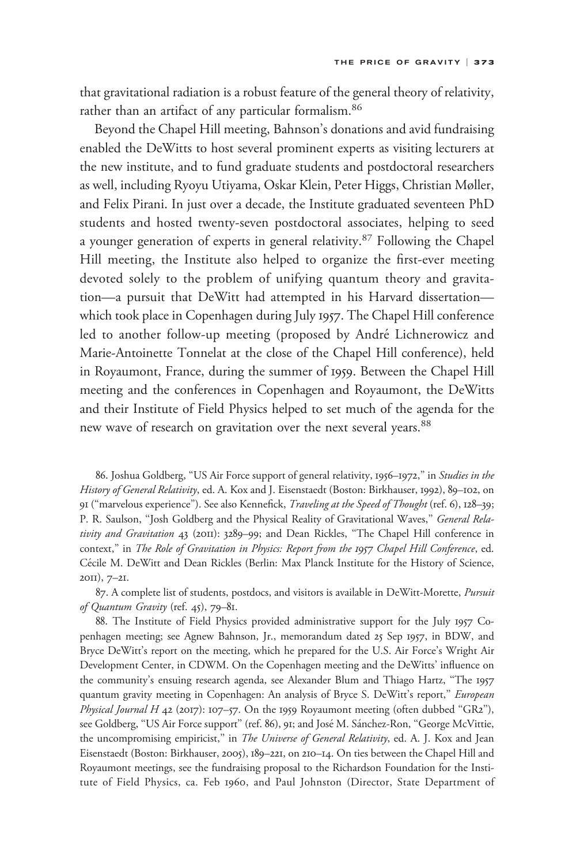that gravitational radiation is a robust feature of the general theory of relativity, rather than an artifact of any particular formalism.<sup>86</sup>

Beyond the Chapel Hill meeting, Bahnson's donations and avid fundraising enabled the DeWitts to host several prominent experts as visiting lecturers at the new institute, and to fund graduate students and postdoctoral researchers as well, including Ryoyu Utiyama, Oskar Klein, Peter Higgs, Christian Møller, and Felix Pirani. In just over a decade, the Institute graduated seventeen PhD students and hosted twenty-seven postdoctoral associates, helping to seed a younger generation of experts in general relativity.<sup>87</sup> Following the Chapel Hill meeting, the Institute also helped to organize the first-ever meeting devoted solely to the problem of unifying quantum theory and gravitation—a pursuit that DeWitt had attempted in his Harvard dissertation which took place in Copenhagen during July 1957. The Chapel Hill conference led to another follow-up meeting (proposed by André Lichnerowicz and Marie-Antoinette Tonnelat at the close of the Chapel Hill conference), held in Royaumont, France, during the summer of 1959. Between the Chapel Hill meeting and the conferences in Copenhagen and Royaumont, the DeWitts and their Institute of Field Physics helped to set much of the agenda for the new wave of research on gravitation over the next several years.<sup>88</sup>

86. Joshua Goldberg, "US Air Force support of general relativity, 1956–1972," in Studies in the History of General Relativity, ed. A. Kox and J. Eisenstaedt (Boston: Birkhauser, 1992), 89-102, on 91 ("marvelous experience"). See also Kennefick, Traveling at the Speed of Thought (ref. 6), 128-39; P. R. Saulson, "Josh Goldberg and the Physical Reality of Gravitational Waves," General Relativity and Gravitation 43 (2011): 3289-99; and Dean Rickles, "The Chapel Hill conference in context,'' in The Role of Gravitation in Physics: Report from the 1957 Chapel Hill Conference, ed. Cécile M. DeWitt and Dean Rickles (Berlin: Max Planck Institute for the History of Science, 2011), 7–21.

87. A complete list of students, postdocs, and visitors is available in DeWitt-Morette, Pursuit of Quantum Gravity (ref. 45), 79–81.

88. The Institute of Field Physics provided administrative support for the July 1957 Copenhagen meeting; see Agnew Bahnson, Jr., memorandum dated 25 Sep 1957, in BDW, and Bryce DeWitt's report on the meeting, which he prepared for the U.S. Air Force's Wright Air Development Center, in CDWM. On the Copenhagen meeting and the DeWitts' influence on the community's ensuing research agenda, see Alexander Blum and Thiago Hartz, ''The 1957 quantum gravity meeting in Copenhagen: An analysis of Bryce S. DeWitt's report," European Physical Journal H 42 (2017): 107–57. On the 1959 Royaumont meeting (often dubbed "GR2"), see Goldberg, "US Air Force support" (ref. 86), 91; and José M. Sánchez-Ron, "George McVittie, the uncompromising empiricist," in The Universe of General Relativity, ed. A. J. Kox and Jean Eisenstaedt (Boston: Birkhauser, 2005), 189–221, on 210–14. On ties between the Chapel Hill and Royaumont meetings, see the fundraising proposal to the Richardson Foundation for the Institute of Field Physics, ca. Feb 1960, and Paul Johnston (Director, State Department of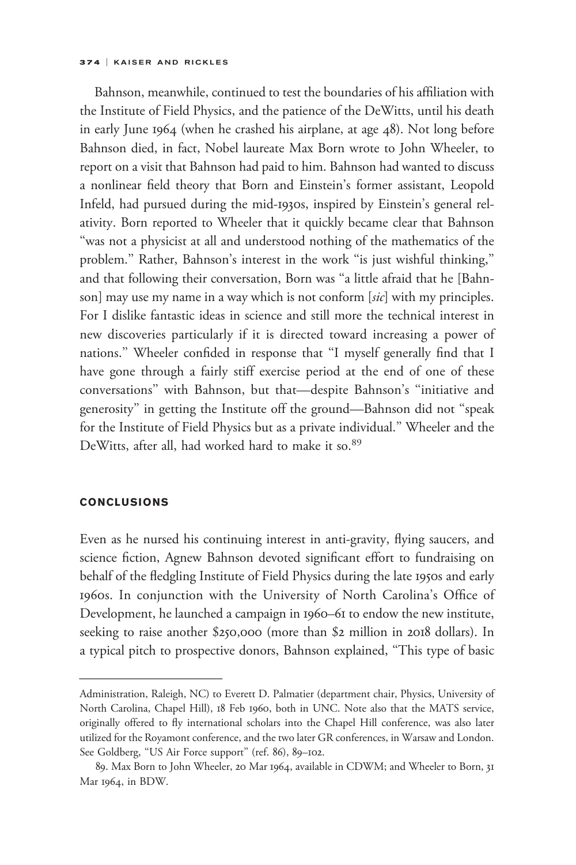#### 374 | KAISER AND RICKLES

Bahnson, meanwhile, continued to test the boundaries of his affiliation with the Institute of Field Physics, and the patience of the DeWitts, until his death in early June 1964 (when he crashed his airplane, at age 48). Not long before Bahnson died, in fact, Nobel laureate Max Born wrote to John Wheeler, to report on a visit that Bahnson had paid to him. Bahnson had wanted to discuss a nonlinear field theory that Born and Einstein's former assistant, Leopold Infeld, had pursued during the mid-1930s, inspired by Einstein's general relativity. Born reported to Wheeler that it quickly became clear that Bahnson "was not a physicist at all and understood nothing of the mathematics of the problem.'' Rather, Bahnson's interest in the work ''is just wishful thinking,'' and that following their conversation, Born was ''a little afraid that he [Bahnson] may use my name in a way which is not conform [sic] with my principles. For I dislike fantastic ideas in science and still more the technical interest in new discoveries particularly if it is directed toward increasing a power of nations.'' Wheeler confided in response that ''I myself generally find that I have gone through a fairly stiff exercise period at the end of one of these conversations'' with Bahnson, but that—despite Bahnson's ''initiative and generosity'' in getting the Institute off the ground—Bahnson did not ''speak for the Institute of Field Physics but as a private individual.'' Wheeler and the DeWitts, after all, had worked hard to make it so.<sup>89</sup> "was not a physicist at all and u<br>
"was not a physicist at all and u<br>
problem." Rather, Bahnson's ir<br>
and that following their convers<br>
son] may use my name in a way<br>
For I dislike fantastic ideas in s<br>
new discoveries par

### CONCLUSIONS

Even as he nursed his continuing interest in anti-gravity, flying saucers, and science fiction, Agnew Bahnson devoted significant effort to fundraising on behalf of the fledgling Institute of Field Physics during the late 1950s and early 1960s. In conjunction with the University of North Carolina's Office of Development, he launched a campaign in 1960–61 to endow the new institute, seeking to raise another \$250,000 (more than \$2 million in 2018 dollars). In a typical pitch to prospective donors, Bahnson explained, ''This type of basic

Administration, Raleigh, NC) to Everett D. Palmatier (department chair, Physics, University of North Carolina, Chapel Hill), 18 Feb 1960, both in UNC. Note also that the MATS service, originally offered to fly international scholars into the Chapel Hill conference, was also later utilized for the Royamont conference, and the two later GR conferences, in Warsaw and London. See Goldberg, "US Air Force support" (ref. 86), 89-102.

<sup>89.</sup> Max Born to John Wheeler, 20 Mar 1964, available in CDWM; and Wheeler to Born, 31 Mar 1964, in BDW.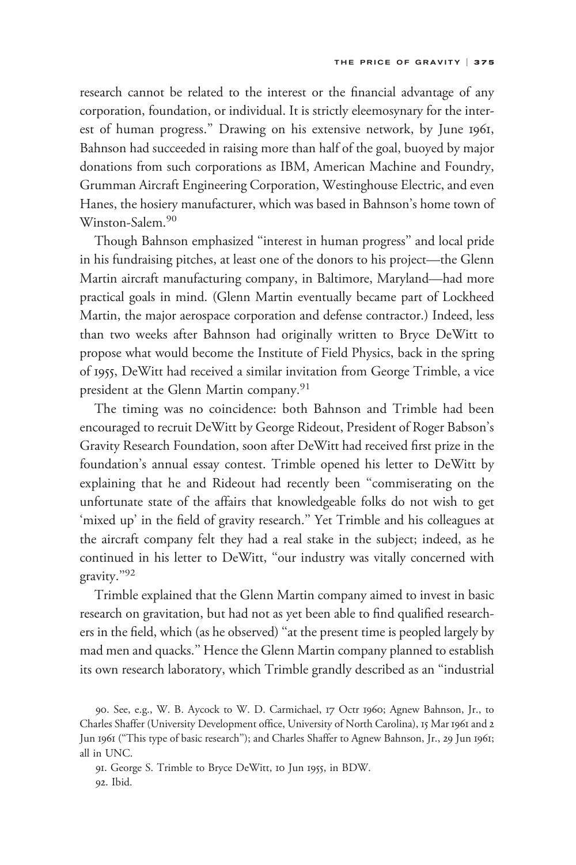research cannot be related to the interest or the financial advantage of any corporation, foundation, or individual. It is strictly eleemosynary for the interest of human progress.'' Drawing on his extensive network, by June 1961, Bahnson had succeeded in raising more than half of the goal, buoyed by major donations from such corporations as IBM, American Machine and Foundry, Grumman Aircraft Engineering Corporation, Westinghouse Electric, and even Hanes, the hosiery manufacturer, which was based in Bahnson's home town of Winston-Salem.<sup>90</sup>

Though Bahnson emphasized ''interest in human progress'' and local pride in his fundraising pitches, at least one of the donors to his project—the Glenn Martin aircraft manufacturing company, in Baltimore, Maryland—had more practical goals in mind. (Glenn Martin eventually became part of Lockheed Martin, the major aerospace corporation and defense contractor.) Indeed, less than two weeks after Bahnson had originally written to Bryce DeWitt to propose what would become the Institute of Field Physics, back in the spring of 1955, DeWitt had received a similar invitation from George Trimble, a vice president at the Glenn Martin company.<sup>91</sup>

The timing was no coincidence: both Bahnson and Trimble had been encouraged to recruit DeWitt by George Rideout, President of Roger Babson's Gravity Research Foundation, soon after DeWitt had received first prize in the foundation's annual essay contest. Trimble opened his letter to DeWitt by explaining that he and Rideout had recently been ''commiserating on the unfortunate state of the affairs that knowledgeable folks do not wish to get 'mixed up' in the field of gravity research.'' Yet Trimble and his colleagues at the aircraft company felt they had a real stake in the subject; indeed, as he continued in his letter to DeWitt, ''our industry was vitally concerned with gravity.''92

Trimble explained that the Glenn Martin company aimed to invest in basic research on gravitation, but had not as yet been able to find qualified researchers in the field, which (as he observed) ''at the present time is peopled largely by mad men and quacks.'' Hence the Glenn Martin company planned to establish its own research laboratory, which Trimble grandly described as an ''industrial

90. See, e.g., W. B. Aycock to W. D. Carmichael, 17 Octr 1960; Agnew Bahnson, Jr., to Charles Shaffer (University Development office, University of North Carolina), 15 Mar 1961 and 2 Jun 1961 (''This type of basic research''); and Charles Shaffer to Agnew Bahnson, Jr., 29 Jun 1961; all in UNC.

91. George S. Trimble to Bryce DeWitt, 10 Jun 1955, in BDW. 92. Ibid.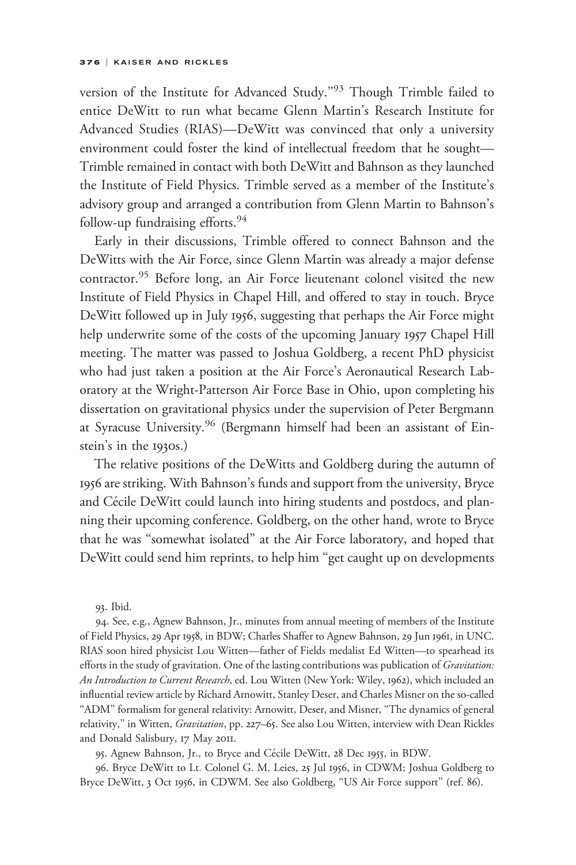version of the Institute for Advanced Study.''<sup>93</sup> Though Trimble failed to entice DeWitt to run what became Glenn Martin's Research Institute for Advanced Studies (RIAS)—DeWitt was convinced that only a university environment could foster the kind of intellectual freedom that he sought— Trimble remained in contact with both DeWitt and Bahnson as they launched the Institute of Field Physics. Trimble served as a member of the Institute's advisory group and arranged a contribution from Glenn Martin to Bahnson's follow-up fundraising efforts.<sup>94</sup>

Early in their discussions, Trimble offered to connect Bahnson and the DeWitts with the Air Force, since Glenn Martin was already a major defense contractor.<sup>95</sup> Before long, an Air Force lieutenant colonel visited the new Institute of Field Physics in Chapel Hill, and offered to stay in touch. Bryce DeWitt followed up in July 1956, suggesting that perhaps the Air Force might help underwrite some of the costs of the upcoming January 1957 Chapel Hill meeting. The matter was passed to Joshua Goldberg, a recent PhD physicist who had just taken a position at the Air Force's Aeronautical Research Laboratory at the Wright-Patterson Air Force Base in Ohio, upon completing his dissertation on gravitational physics under the supervision of Peter Bergmann at Syracuse University.<sup>96</sup> (Bergmann himself had been an assistant of Einstein's in the 1930s.)

The relative positions of the DeWitts and Goldberg during the autumn of 1956 are striking. With Bahnson's funds and support from the university, Bryce and Cécile DeWitt could launch into hiring students and postdocs, and planning their upcoming conference. Goldberg, on the other hand, wrote to Bryce that he was ''somewhat isolated'' at the Air Force laboratory, and hoped that DeWitt could send him reprints, to help him ''get caught up on developments

93. Ibid.

94. See, e.g., Agnew Bahnson, Jr., minutes from annual meeting of members of the Institute of Field Physics, 29 Apr 1958, in BDW; Charles Shaffer to Agnew Bahnson, 29 Jun 1961, in UNC. RIAS soon hired physicist Lou Witten—father of Fields medalist Ed Witten—to spearhead its efforts in the study of gravitation. One of the lasting contributions was publication of Gravitation: An Introduction to Current Research, ed. Lou Witten (New York: Wiley, 1962), which included an influential review article by Richard Arnowitt, Stanley Deser, and Charles Misner on the so-called "ADM" formalism for general relativity: Arnowitt, Deser, and Misner, "The dynamics of general relativity," in Witten, *Gravitation*, pp. 227-65. See also Lou Witten, interview with Dean Rickles and Donald Salisbury, 17 May 2011.

95. Agnew Bahnson, Jr., to Bryce and Cécile DeWitt, 28 Dec 1955, in BDW.

96. Bryce DeWitt to Lt. Colonel G. M. Leies, 25 Jul 1956, in CDWM; Joshua Goldberg to Bryce DeWitt, 3 Oct 1956, in CDWM. See also Goldberg, ''US Air Force support'' (ref. 86).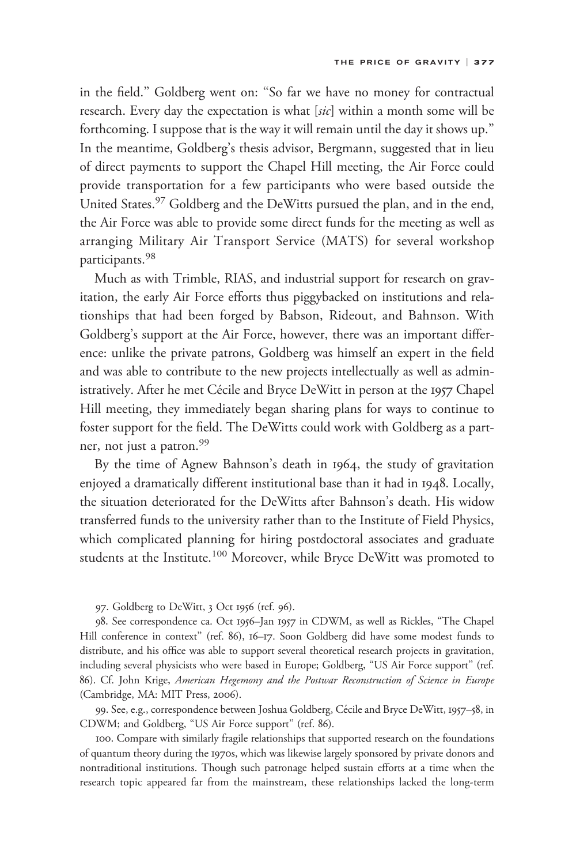in the field.'' Goldberg went on: ''So far we have no money for contractual research. Every day the expectation is what [sic] within a month some will be forthcoming. I suppose that is the way it will remain until the day it shows up.'' In the meantime, Goldberg's thesis advisor, Bergmann, suggested that in lieu of direct payments to support the Chapel Hill meeting, the Air Force could provide transportation for a few participants who were based outside the United States.<sup>97</sup> Goldberg and the DeWitts pursued the plan, and in the end, the Air Force was able to provide some direct funds for the meeting as well as arranging Military Air Transport Service (MATS) for several workshop participants.<sup>98</sup>

Much as with Trimble, RIAS, and industrial support for research on gravitation, the early Air Force efforts thus piggybacked on institutions and relationships that had been forged by Babson, Rideout, and Bahnson. With Goldberg's support at the Air Force, however, there was an important difference: unlike the private patrons, Goldberg was himself an expert in the field and was able to contribute to the new projects intellectually as well as administratively. After he met Cécile and Bryce DeWitt in person at the 1957 Chapel Hill meeting, they immediately began sharing plans for ways to continue to foster support for the field. The DeWitts could work with Goldberg as a partner, not just a patron.<sup>99</sup>

By the time of Agnew Bahnson's death in 1964, the study of gravitation enjoyed a dramatically different institutional base than it had in 1948. Locally, the situation deteriorated for the DeWitts after Bahnson's death. His widow transferred funds to the university rather than to the Institute of Field Physics, which complicated planning for hiring postdoctoral associates and graduate students at the Institute.<sup>100</sup> Moreover, while Bryce DeWitt was promoted to

97. Goldberg to DeWitt, 3 Oct 1956 (ref. 96).

98. See correspondence ca. Oct 1956–Jan 1957 in CDWM, as well as Rickles, ''The Chapel Hill conference in context'' (ref. 86), 16–17. Soon Goldberg did have some modest funds to distribute, and his office was able to support several theoretical research projects in gravitation, including several physicists who were based in Europe; Goldberg, ''US Air Force support'' (ref. 86). Cf. John Krige, American Hegemony and the Postwar Reconstruction of Science in Europe (Cambridge, MA: MIT Press, 2006).

99. See, e.g., correspondence between Joshua Goldberg, Cécile and Bryce DeWitt, 1957-58, in CDWM; and Goldberg, ''US Air Force support'' (ref. 86).

100. Compare with similarly fragile relationships that supported research on the foundations of quantum theory during the 1970s, which was likewise largely sponsored by private donors and nontraditional institutions. Though such patronage helped sustain efforts at a time when the research topic appeared far from the mainstream, these relationships lacked the long-term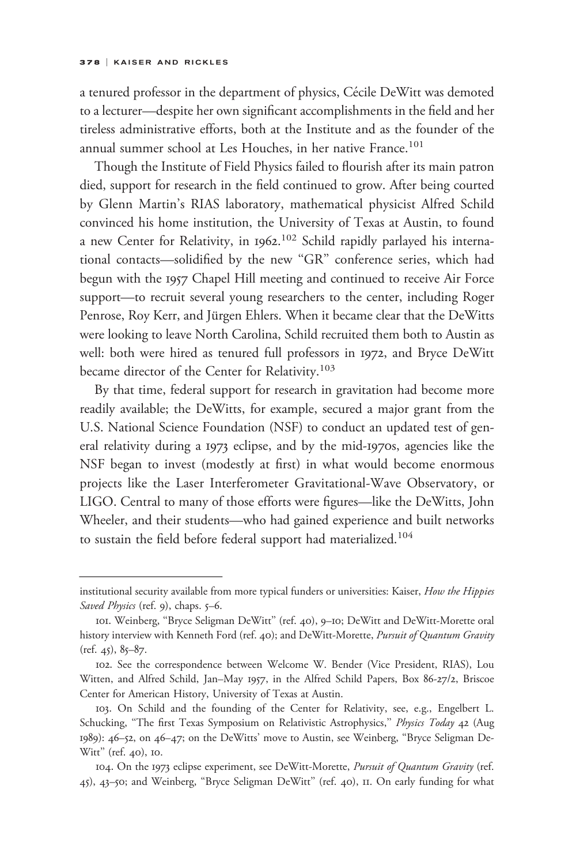a tenured professor in the department of physics, Cécile DeWitt was demoted to a lecturer—despite her own significant accomplishments in the field and her tireless administrative efforts, both at the Institute and as the founder of the annual summer school at Les Houches, in her native France.<sup>101</sup>

Though the Institute of Field Physics failed to flourish after its main patron died, support for research in the field continued to grow. After being courted by Glenn Martin's RIAS laboratory, mathematical physicist Alfred Schild convinced his home institution, the University of Texas at Austin, to found a new Center for Relativity, in 1962.<sup>102</sup> Schild rapidly parlayed his international contacts—solidified by the new ''GR'' conference series, which had begun with the 1957 Chapel Hill meeting and continued to receive Air Force support—to recruit several young researchers to the center, including Roger Penrose, Roy Kerr, and Jürgen Ehlers. When it became clear that the DeWitts were looking to leave North Carolina, Schild recruited them both to Austin as well: both were hired as tenured full professors in 1972, and Bryce DeWitt became director of the Center for Relativity.<sup>103</sup> tireless administrative efforts, b.<br>
annual summer school at Les H<br>
Though the Institute of Field<br>
died, support for research in the<br>
by Glenn Martin's RIAS labo.<br>
convinced his home institution<br>
a new Center for Relativit

By that time, federal support for research in gravitation had become more readily available; the DeWitts, for example, secured a major grant from the U.S. National Science Foundation (NSF) to conduct an updated test of general relativity during a 1973 eclipse, and by the mid-1970s, agencies like the NSF began to invest (modestly at first) in what would become enormous projects like the Laser Interferometer Gravitational-Wave Observatory, or LIGO. Central to many of those efforts were figures—like the DeWitts, John Wheeler, and their students—who had gained experience and built networks to sustain the field before federal support had materialized. 104

institutional security available from more typical funders or universities: Kaiser, How the Hippies Saved Physics (ref. 9), chaps. 5-6.

<sup>101.</sup> Weinberg, ''Bryce Seligman DeWitt'' (ref. 40), 9–10; DeWitt and DeWitt-Morette oral history interview with Kenneth Ford (ref. 40); and DeWitt-Morette, Pursuit of Quantum Gravity  $(ref. 45)$ ,  $85-87$ .

<sup>102.</sup> See the correspondence between Welcome W. Bender (Vice President, RIAS), Lou Witten, and Alfred Schild, Jan–May 1957, in the Alfred Schild Papers, Box 86-27/2, Briscoe Center for American History, University of Texas at Austin.

<sup>103.</sup> On Schild and the founding of the Center for Relativity, see, e.g., Engelbert L. Schucking, "The first Texas Symposium on Relativistic Astrophysics," Physics Today 42 (Aug 1989): 46–52, on 46–47; on the DeWitts' move to Austin, see Weinberg, ''Bryce Seligman De-Witt" (ref. 40), 10.

<sup>104.</sup> On the 1973 eclipse experiment, see DeWitt-Morette, Pursuit of Quantum Gravity (ref. 45), 43–50; and Weinberg, ''Bryce Seligman DeWitt'' (ref. 40), 11. On early funding for what